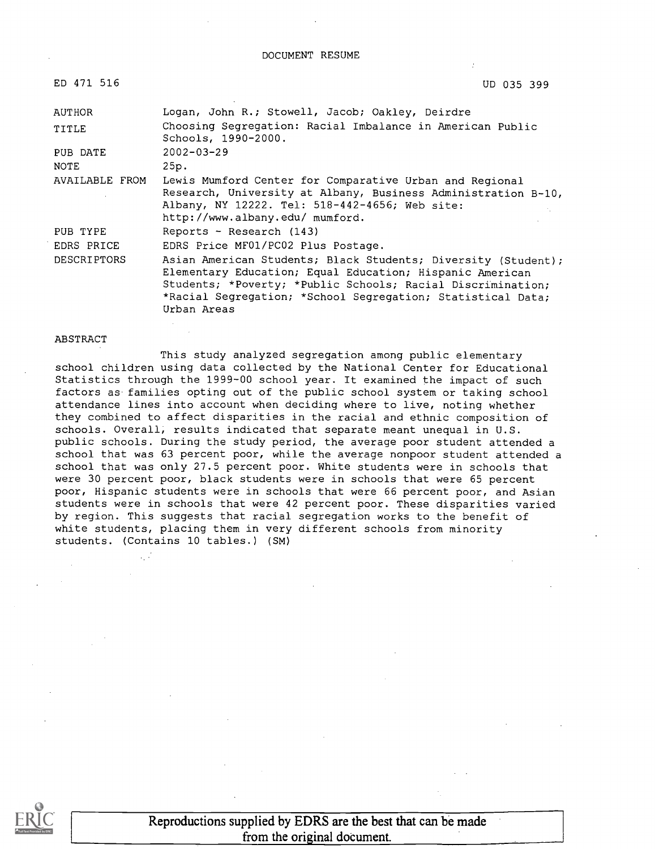DOCUMENT RESUME

| ED 471 516         | UD 035 399                                                                                                                                                                                                                                                             |
|--------------------|------------------------------------------------------------------------------------------------------------------------------------------------------------------------------------------------------------------------------------------------------------------------|
| AUTHOR             | Logan, John R.; Stowell, Jacob; Oakley, Deirdre                                                                                                                                                                                                                        |
| TITLE              | Choosing Segregation: Racial Imbalance in American Public<br>Schools, 1990-2000.                                                                                                                                                                                       |
| PUB DATE           | $2002 - 03 - 29$                                                                                                                                                                                                                                                       |
| NOTE               | 25p.                                                                                                                                                                                                                                                                   |
| AVAILABLE FROM     | Lewis Mumford Center for Comparative Urban and Regional<br>Research, University at Albany, Business Administration B-10,<br>Albany, NY 12222. Tel: 518-442-4656; Web site:<br>http://www.albany.edu/ mumford.                                                          |
| PUB TYPE           | Reports - Research (143)                                                                                                                                                                                                                                               |
| EDRS PRICE         | EDRS Price MF01/PC02 Plus Postage.                                                                                                                                                                                                                                     |
| <b>DESCRIPTORS</b> | Asian American Students; Black Students; Diversity (Student);<br>Elementary Education; Equal Education; Hispanic American<br>Students; *Poverty; *Public Schools; Racial Discrimination;<br>*Racial Segregation; *School Segregation; Statistical Data;<br>Urban Areas |

#### ABSTRACT

This study analyzed segregation among public elementary school children using data collected by the National Center for Educational Statistics through the 1999-00 school year. It examined the impact of such factors as families opting out of the public school system or taking school attendance lines into account when deciding where to live, noting whether they combined to affect disparities in the racial and ethnic composition of schools. Overall, results indicated that separate meant unequal in U.S. public schools. During the study period, the average poor student attended a school that was 63 percent poor, while the average nonpoor student attended a school that was only 27.5 percent poor. White students were in schools that were 30 percent poor, black students were in schools that were 65 percent poor, Hispanic students were in schools that were 66 percent poor, and Asian students were in schools that were 42 percent poor. These disparities varied by region. This suggests that racial segregation works to the benefit of white students, placing them in very different schools from minority students. (Contains 10 tables.) (SM)



Reproductions supplied by EDRS are the best that can be made from the original document.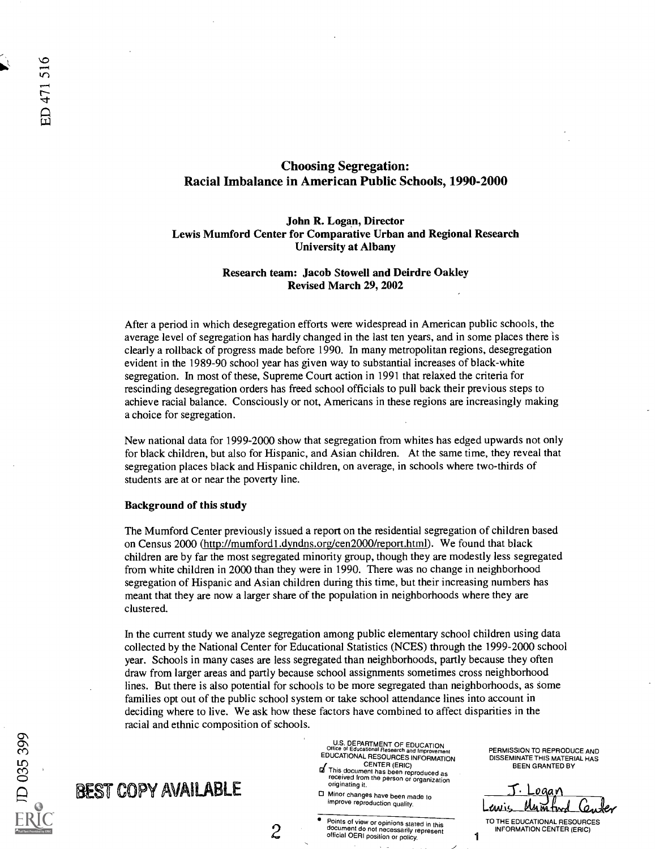## Choosing Segregation: Racial Imbalance in American Public Schools, 1990-2000

## John R. Logan, Director Lewis Mumford Center for Comparative Urban and Regional Research University at Albany

### Research team: Jacob Stowell and Deirdre Oakley Revised March 29, 2002

After a period in which desegregation efforts were widespread in American public schools, the average level of segregation has hardly changed in the last ten years, and in some places there is clearly a rollback of progress made before 1990. In many metropolitan regions, desegregation evident in the 1989-90 school year has given way to substantial increases of black-white segregation. In most of these, Supreme Court action in 1991 that relaxed the criteria for rescinding desegregation orders has freed school officials to pull back their previous steps to achieve racial balance. Consciously or not, Americans in these regions are increasingly making a choice for segregation.

New national data for 1999-2000 show that segregation from whites has edged upwards not only for black children, but also for Hispanic, and Asian children. At the same time, they reveal that segregation places black and Hispanic children, on average, in schools where two-thirds of students are at or near the poverty line.

#### Background of this study

**BEST COPY AVAILABLE** 

The Mumford Center previously issued a report on the residential segregation of children based on Census 2000 (http://mumford1.dyndns.org/cen2000/report.html). We found that black children are by far the most segregated minority group, though they are modestly less segregated from white children in 2000 than they were in 1990. There was no change in neighborhood segregation of Hispanic and Asian children during this time, but their increasing numbers has meant that they are now a larger share of the population in neighborhoods where they are clustered.

In the current study we analyze segregation among public elementary school children using data collected by the National Center for Educational Statistics (NCES) through the 1999-2000 school year. Schools in many cases are less segregated than neighborhoods, partly because they often draw from larger areas and partly because school assignments sometimes cross neighborhood lines. But there is also potential for schools to be more segregated than neighborhoods, as some families opt out of the public school system or take school attendance lines into account in deciding where to live. We ask how these factors have combined to affect disparities in the racial and ethnic composition of schools.

originating it.

Minor changes have been made to improve reproduction quality.

U.S. DEPARTMENT OF EDUCATION Office of Educational Research and Improvement EDUCATIONAL RESOURCES INFORMATION

Points of view or opinions stated in this document do not necessarily represent official OERI position or policy. <sup>1</sup>

| ഗ                          |   |  |
|----------------------------|---|--|
|                            | ï |  |
|                            |   |  |
|                            |   |  |
|                            |   |  |
| Full Text Provided by ERIC |   |  |

ED 471 516

**CENTER (ERIC)**<br>This document has been reproduced as<br>received from the person or organization ogan Mumtw

PERMISSION TO REPRODUCE AND DISSEMINATE THIS MATERIAL HAS BEEN GRANTED BY

TO THE EDUCATIONAL RESOURCES INFORMATION CENTER (ERIC)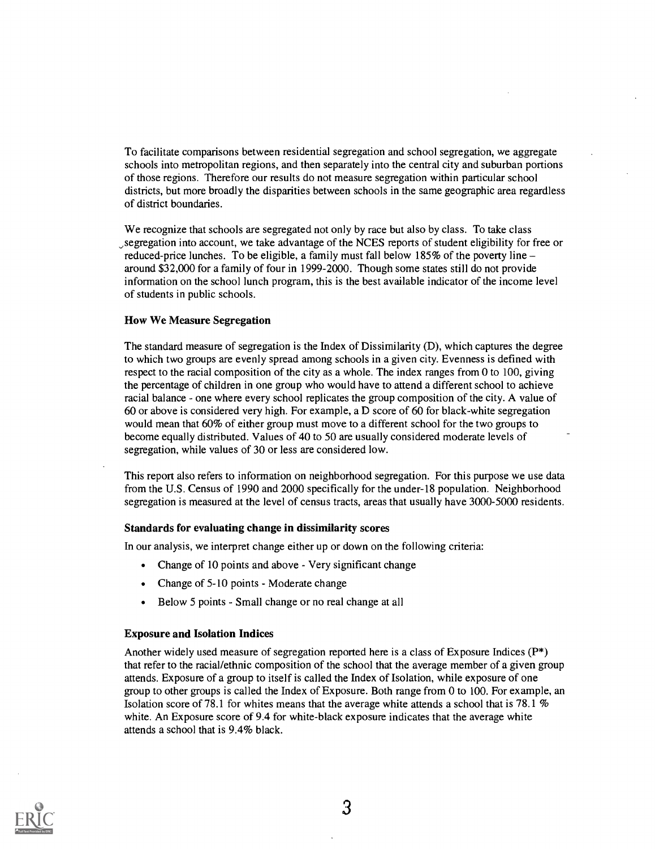To facilitate comparisons between residential segregation and school segregation, we aggregate schools into metropolitan regions, and then separately into the central city and suburban portions of those regions. Therefore our results do not measure segregation within particular school districts, but more broadly the disparities between schools in the same geographic area regardless of district boundaries.

We recognize that schools are segregated not only by race but also by class. To take class ,segregation into account, we take advantage of the NCES reports of student eligibility for free or reduced-price lunches. To be eligible, a family must fall below  $185\%$  of the poverty line – around \$32,000 for a family of four in 1999-2000. Though some states still do not provide information on the school lunch program, this is the best available indicator of the income level of students in public schools.

#### How We Measure Segregation

The standard measure of segregation is the Index of Dissimilarity (D), which captures the degree to which two groups are evenly spread among schools in a given city. Evenness is defined with respect to the racial composition of the city as a whole. The index ranges from 0 to 100, giving the percentage of children in one group who would have to attend a different school to achieve racial balance - one where every school replicates the group composition of the city. A value of 60 or above is considered very high. For example, a D score of 60 for black-white segregation would mean that 60% of either group must move to a different school for the two groups to become equally distributed. Values of 40 to 50 are usually considered moderate levels of segregation, while values of 30 or less are considered low.

This report also refers to information on neighborhood segregation. For this purpose we use data from the U.S. Census of 1990 and 2000 specifically for the under-18 population. Neighborhood segregation is measured at the level of census tracts, areas that usually have 3000-5000 residents.

#### Standards for evaluating change in dissimilarity scores

In our analysis, we interpret change either up or down on the following criteria:

- Change of 10 points and above Very significant change
- Change of 5-10 points Moderate change
- Below 5 points Small change or no real change at all

#### Exposure and Isolation Indices

Another widely used measure of segregation reported here is a class of Exposure Indices (P\*) that refer to the racial/ethnic composition of the school that the average member of a given group attends. Exposure of a group to itself is called the Index of Isolation, while exposure of one group to other groups is called the Index of Exposure. Both range from 0 to 100. For example, an Isolation score of 78.1 for whites means that the average white attends a school that is 78.1  $%$ white. An Exposure score of 9.4 for white-black exposure indicates that the average white attends a school that is 9.4% black.

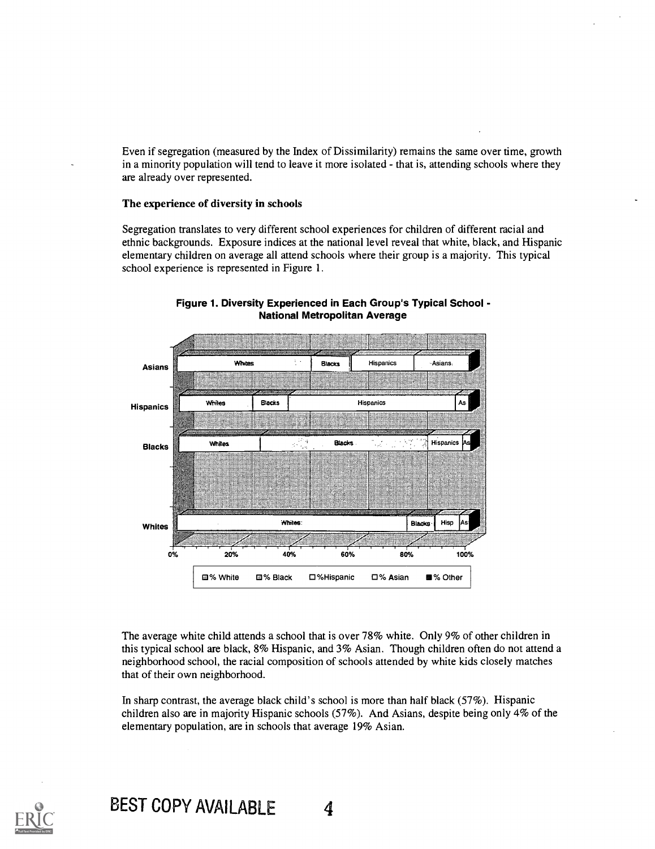Even if segregation (measured by the Index of Dissimilarity) remains the same over time, growth in a minority population will tend to leave it more isolated - that is, attending schools where they are already over represented.

#### The experience of diversity in schools

Segregation translates to very different school experiences for children of different racial and ethnic backgrounds. Exposure indices at the national level reveal that white, black, and Hispanic elementary children on average all attend schools where their group is a majority. This typical school experience is represented in Figure 1.



Figure 1. Diversity Experienced in Each Group's Typical School - National Metropolitan Average

The average white child attends a school that is over 78% white. Only 9% of other children in this typical school are black, 8% Hispanic, and 3% Asian. Though children often do not attend a neighborhood school, the racial composition of schools attended by white kids closely matches that of their own neighborhood.

In sharp contrast, the average black child's school is more than half black (57%). Hispanic children also are in majority Hispanic schools (57%). And Asians, despite being only 4% of the elementary population, are in schools that average 19% Asian.

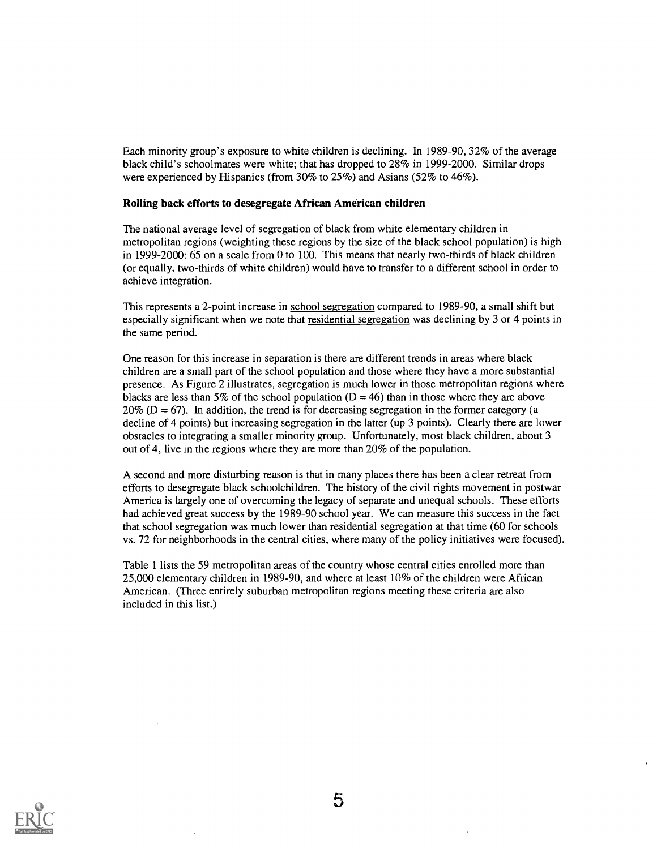Each minority group's exposure to white children is declining. In 1989-90, 32% of the average black child's schoolmates were white; that has dropped to 28% in 1999-2000. Similar drops were experienced by Hispanics (from 30% to 25%) and Asians (52% to 46%).

#### Rolling back efforts to desegregate African American children

The national average level of segregation of black from white elementary children in metropolitan regions (weighting these regions by the size of the black school population) is high in 1999-2000: 65 on a scale from 0 to 100. This means that nearly two-thirds of black children (or equally, two-thirds of white children) would have to transfer to a different school in order to achieve integration.

This represents a 2-point increase in school segregation compared to 1989-90, a small shift but especially significant when we note that residential segregation was declining by 3 or 4 points in the same period.

One reason for this increase in separation is there are different trends in areas where black children are a small part of the school population and those where they have a more substantial presence. As Figure 2 illustrates, segregation is much lower in those metropolitan regions where blacks are less than 5% of the school population  $(D = 46)$  than in those where they are above  $20\%$  (D = 67). In addition, the trend is for decreasing segregation in the former category (a decline of 4 points) but increasing segregation in the latter (up 3 points). Clearly there are lower obstacles to integrating a smaller minority group. Unfortunately, most black children, about 3 out of 4, live in the regions where they are more than 20% of the population.

A second and more disturbing reason is that in many places there has been a clear retreat from efforts to desegregate black schoolchildren. The history of the civil rights movement in postwar America is largely one of overcoming the legacy of separate and unequal schools. These efforts had achieved great success by the 1989-90 school year. We can measure this success in the fact that school segregation was much lower than residential segregation at that time (60 for schools vs. 72 for neighborhoods in the central cities, where many of the policy initiatives were focused).

Table 1 lists the 59 metropolitan areas of the country whose central cities enrolled more than 25,000 elementary children in 1989-90, and where at least 10% of the children were African American. (Three entirely suburban metropolitan regions meeting these criteria are also included in this list.)

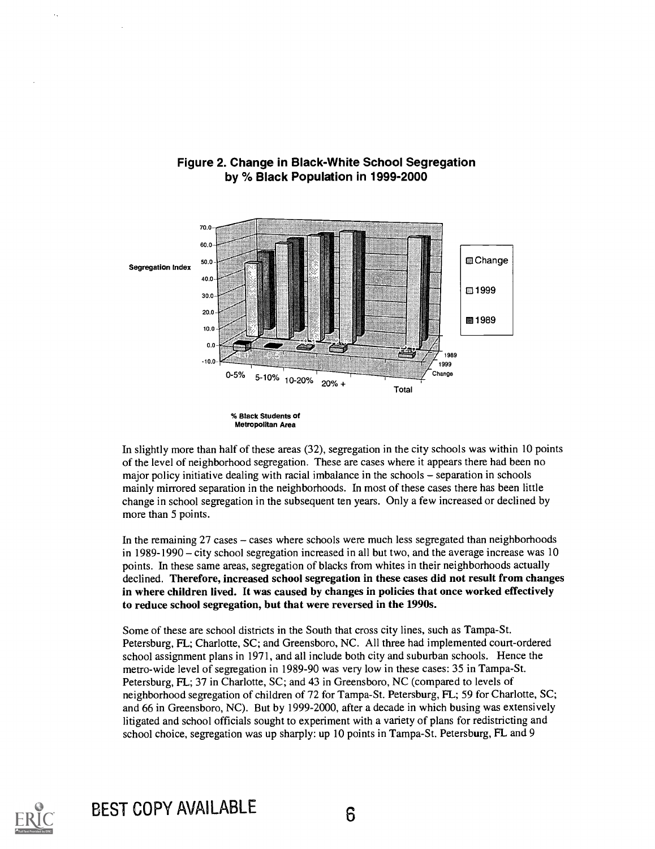

## Figure 2. Change in Black-White School Segregation by % Black Population in 1999-2000

In slightly more than half of these areas (32), segregation in the city schools was within 10 points of the level of neighborhood segregation. These are cases where it appears there had been no major policy initiative dealing with racial imbalance in the schools – separation in schools mainly mirrored separation in the neighborhoods. In most of these cases there has been little change in school segregation in the subsequent ten years. Only a few increased or declined by more than 5 points.

In the remaining  $27$  cases  $-$  cases where schools were much less segregated than neighborhoods in  $1989-1990 - \text{city school segregation increased in all but two, and the average increase was 10$ points. In these same areas, segregation of blacks from whites in their neighborhoods actually declined. Therefore, increased school segregation in these cases did not result from changes in where children lived. It was caused by changes in policies that once worked effectively to reduce school segregation, but that were reversed in the 1990s.

Some of these are school districts in the South that cross city lines, such as Tampa-St. Petersburg, FL; Charlotte, SC; and Greensboro, NC. All three had implemented court-ordered school assignment plans in 1971, and all include both city and suburban schools. Hence the metro-wide level of segregation in 1989-90 was very low in these cases: 35 in Tampa-St. Petersburg, FL; 37 in Charlotte, SC; and 43 in Greensboro, NC (compared to levels of neighborhood segregation of children of 72 for Tampa-St. Petersburg, FL; 59 for Charlotte, SC; and 66 in Greensboro, NC). But by 1999-2000, after a decade in which busing was extensively litigated and school officials sought to experiment with a variety of plans for redistricting and school choice, segregation was up sharply: up 10 points in Tampa-St. Petersburg, FL and 9



<sup>%</sup> Black Students of Metropolitan Area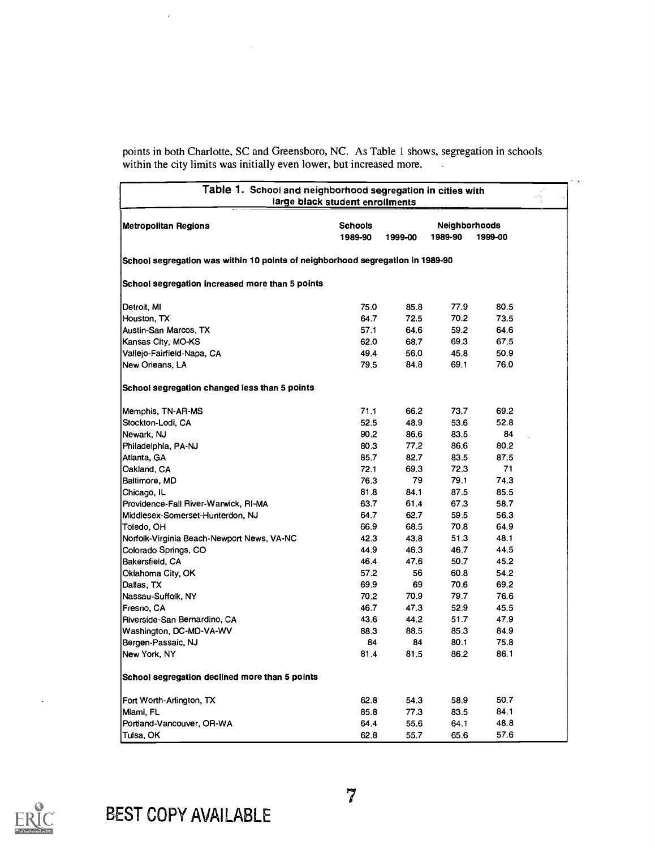points in both Charlotte, SC and Greensboro, NC. As Table 1 shows, segregation in schools within the city limits was initially even lower, but increased more.

| Table 1. School and neighborhood segregation in cities with                    | large black student enrollments |         |                                 |         |  |
|--------------------------------------------------------------------------------|---------------------------------|---------|---------------------------------|---------|--|
| <b>Metropolitan Regions</b>                                                    | <b>Schools</b><br>1989-90       | 1999-00 | <b>Neighborhoods</b><br>1989-90 | 1999-00 |  |
| School segregation was within 10 points of neighborhood segregation in 1989-90 |                                 |         |                                 |         |  |
| School segregation increased more than 5 points                                |                                 |         |                                 |         |  |
| Detroit, MI                                                                    | 75.0                            | 85.8    | 77.9                            | 80.5    |  |
| Houston, TX                                                                    | 64.7                            | 72.5    | 70.2                            | 73.5    |  |
| Austin-San Marcos, TX                                                          | 57.1                            | 64.6    | 59.2                            | 64.6    |  |
| Kansas City, MO-KS                                                             | 62.0                            | 68.7    | 69.3                            | 67.5    |  |
| Vallejo-Fairfield-Napa, CA                                                     | 49.4                            | 56.0    | 45.8                            | 50.9    |  |
| New Orleans, LA                                                                | 79.5                            | 84.8    | 69.1                            | 76.0    |  |
| School segregation changed less than 5 points                                  |                                 |         |                                 |         |  |
| Memphis, TN-AR-MS                                                              | 71.1                            | 66.2    | 73.7                            | 69.2    |  |
| Stockton-Lodi, CA                                                              | 52.5                            | 48.9    | 53.6                            | 52.8    |  |
| Newark, NJ                                                                     | 90.2                            | 86.6    | 83.5                            | 84      |  |
| Philadelphia, PA-NJ                                                            | 80.3                            | 77.2    | 86.6                            | 80.2    |  |
| Atlanta, GA                                                                    | 85.7                            | 82.7    | 83.5                            | 87.5    |  |
| Oakland, CA                                                                    | 72.1                            | 69.3    | 72.3                            | 71      |  |
| Baltimore, MD                                                                  | 76.3                            | 79      | 79.1                            | 74.3    |  |
| Chicago, IL                                                                    | 81.8                            | 84.1    | 87.5                            | 85.5    |  |
| Providence-Fall River-Warwick, RI-MA                                           | 63.7                            | 61.4    | 67.3                            | 58.7    |  |
| Middlesex-Somerset-Hunterdon, NJ                                               | 64.7                            | 62.7    | 59.5                            | 56.3    |  |
| Toledo, OH                                                                     | 66.9                            | 68.5    | 70.8                            | 64.9    |  |
| Norfolk-Virginia Beach-Newport News, VA-NC                                     | 42.3                            | 43.8    | 51.3                            | 48.1    |  |
| Colorado Springs, CO                                                           | 44.9                            | 46.3    | 46.7                            | 44.5    |  |
| Bakersfield, CA                                                                | 46.4                            | 47.6    | 50.7                            | 45.2    |  |
| Oklahoma City, OK                                                              | 57.2                            | 56      | 60.8                            | 54.2    |  |
| Dallas, TX                                                                     | 69.9                            | 69      | 70.6                            | 69.2    |  |
| Nassau-Suffolk, NY                                                             | 70.2                            | 70.9    | 79.7                            | 76.6    |  |
| Fresno, CA                                                                     | 46.7                            | 47.3    | 52.9                            | 45.5    |  |
| Riverside-San Bernardino, CA                                                   | 43.6                            | 44.2    | 51.7                            | 47.9    |  |
| Washington, DC-MD-VA-WV                                                        | 88.3                            | 88.5    | 85.3                            | 84.9    |  |
| Bergen-Passaic, NJ                                                             | 84                              | 84      | 80.1                            | 75.8    |  |
| New York, NY                                                                   | 81,4                            | 81.5    | 86.2                            | 86.1    |  |
| School segregation declined more than 5 points                                 |                                 |         |                                 |         |  |
| Fort Worth-Arlington, TX                                                       | 62.8                            | 54.3    | 58.9                            | 50.7    |  |
| Miami, FL                                                                      | 85.8                            | 77.3    | 83.5                            | 84.1    |  |
| Portland-Vancouver, OR-WA                                                      | 64.4                            | 55.6    | 64.1                            | 48.8    |  |
| Tulsa, OK                                                                      | 62.8                            | 55.7    | 65.6                            | 57.6    |  |



 $\ddot{\phantom{1}}$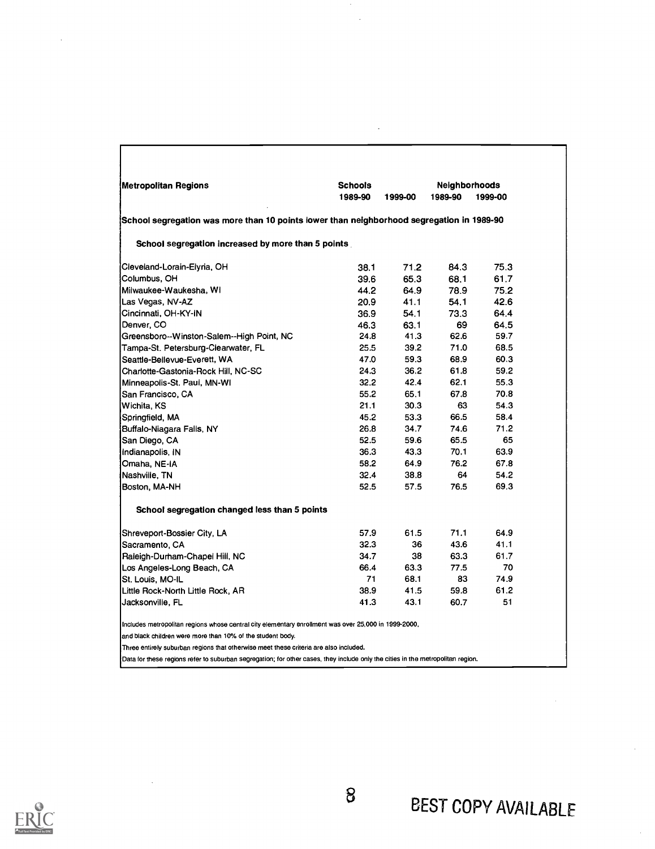| Metropolitan Regions                                                                                 | <b>Schools</b> |         | Neighborhoods |         |
|------------------------------------------------------------------------------------------------------|----------------|---------|---------------|---------|
|                                                                                                      | 1989-90        | 1999-00 | 1989-90       | 1999-00 |
| School segregation was more than 10 points lower than neighborhood segregation in 1989-90            |                |         |               |         |
| School segregation increased by more than 5 points                                                   |                |         |               |         |
| Cleveland-Lorain-Elyria, OH                                                                          | 38.1           | 71.2    | 84.3          | 75.3    |
| Columbus, OH                                                                                         | 39.6           | 65.3    | 68.1          | 61.7    |
| Milwaukee-Waukesha, WI                                                                               | 44.2           | 64.9    | 78.9          | 75.2    |
| Las Vegas, NV-AZ                                                                                     | 20.9           | 41.1    | 54.1          | 42.6    |
| Cincinnati, OH-KY-IN                                                                                 | 36.9           | 54.1    | 73.3          | 64.4    |
| Denver, CO                                                                                           | 46.3           | 63.1    | 69            | 64.5    |
| Greensboro--Winston-Salem--High Point, NC                                                            | 24.8           | 41.3    | 62.6          | 59.7    |
| Tampa-St. Petersburg-Clearwater, FL                                                                  | 25.5           | 39.2    | 71.0          | 68.5    |
| Seattle-Bellevue-Everett, WA                                                                         | 47.0           | 59.3    | 68.9          | 60.3    |
| Charlotte-Gastonia-Rock Hill, NC-SC                                                                  | 24.3           | 36.2    | 61.8          | 59.2    |
| Minneapolis-St. Paul, MN-WI                                                                          | 32.2           | 42.4    | 62.1          | 55.3    |
| San Francisco, CA                                                                                    | 55.2           | 65.1    | 67.8          | 70.8    |
| Wichita, KS                                                                                          | 21.1           | 30.3    | 63            | 54.3    |
| Springfield, MA                                                                                      | 45.2           | 53.3    | 66.5          | 58.4    |
| Buffalo-Niagara Falls, NY                                                                            | 26.8           | 34.7    | 74.6          | 71.2    |
| San Diego, CA                                                                                        | 52.5           | 59.6    | 65.5          | 65      |
| Indianapolis, IN                                                                                     | 36.3           | 43.3    | 70.1          | 63.9    |
| Omaha, NE-IA                                                                                         | 58.2           | 64.9    | 76.2          | 67.8    |
| Nashville, TN                                                                                        | 32.4           | 38.8    | 64            | 54.2    |
| Boston, MA-NH                                                                                        | 52.5           | 57.5    | 76.5          | 69.3    |
| School segregation changed less than 5 points                                                        |                |         |               |         |
| Shreveport-Bossier City, LA                                                                          | 57.9           | 61.5    | 71.1          | 64.9    |
| Sacramento, CA                                                                                       | 32.3           | 36      | 43.6          | 41.1    |
| Raleigh-Durham-Chapel Hill, NC                                                                       | 34.7           | 38      | 63.3          | 61.7    |
| Los Angeles-Long Beach, CA                                                                           | 66.4           | 63.3    | 77.5          | 70      |
| St. Louis, MO-IL                                                                                     | 71             | 68.1    | 83            | 74.9    |
| Little Rock-North Little Rock, AR                                                                    | 38.9           | 41.5    | 59.8          | 61.2    |
| Jacksonville, FL                                                                                     | 41.3           | 43.1    | 60.7          | 51      |
| Includes metropolitan regions whose central city elementary enrollment was over 25,000 in 1999-2000, |                |         |               |         |
| and black children were more than 10% of the student body.                                           |                |         |               |         |
| Three entirely suburban regions that otherwise meet these criteria are also included.                |                |         |               |         |

 $\bar{ }$ 

 $\ddot{\phantom{a}}$ 



 $\mathcal{A}^{\mathcal{A}}$ 

 $\ddot{\phantom{a}}$ 

 $\sqrt{ }$ 

Data for these regions refer to suburban segregation; for other cases, they include only the cities in the metropolitan region.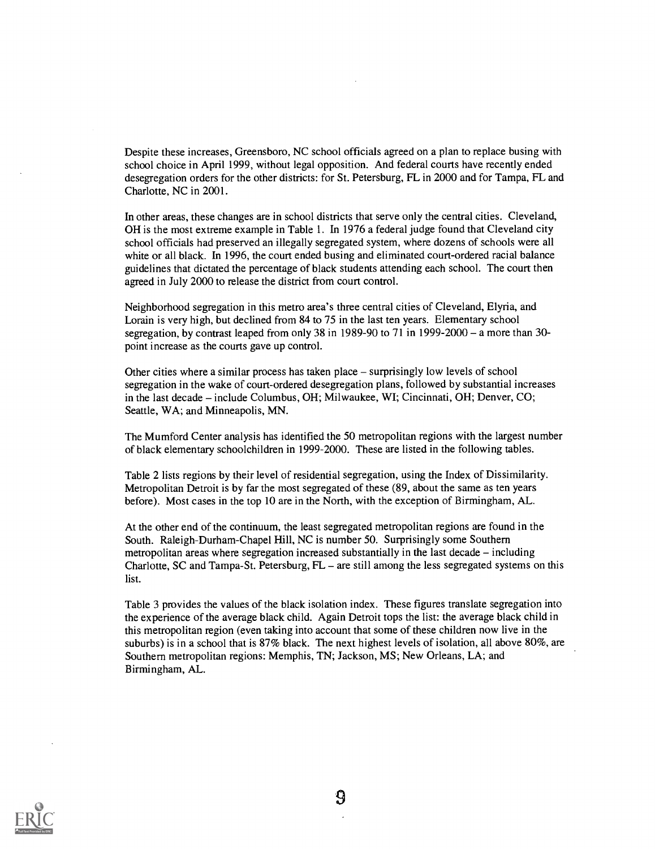Despite these increases, Greensboro, NC school officials agreed on a plan to replace busing with school choice in April 1999, without legal opposition. And federal courts have recently ended desegregation orders for the other districts: for St. Petersburg, FL in 2000 and for Tampa, FL and Charlotte, NC in 2001.

In other areas, these changes are in school districts that serve only the central cities. Cleveland, OH is the most extreme example in Table 1. In 1976 a federal judge found that Cleveland city school officials had preserved an illegally segregated system, where dozens of schools were all white or all black. In 1996, the court ended busing and eliminated court-ordered racial balance guidelines that dictated the percentage of black students attending each school. The court then agreed in July 2000 to release the district from court control.

Neighborhood segregation in this metro area's three central cities of Cleveland, Elyria, and Lorain is very high, but declined from 84 to 75 in the last ten years. Elementary school segregation, by contrast leaped from only 38 in 1989-90 to 71 in 1999-2000 – a more than 30point increase as the courts gave up control.

Other cities where a similar process has taken place  $-$  surprisingly low levels of school segregation in the wake of court-ordered desegregation plans, followed by substantial increases in the last decade - include Columbus, OH; Milwaukee, WI; Cincinnati, OH; Denver, CO; Seattle, WA; and Minneapolis, MN.

The Mumford Center analysis has identified the 50 metropolitan regions with the largest number of black elementary schoolchildren in 1999-2000. These are listed in the following tables.

Table 2 lists regions by their level of residential segregation, using the Index of Dissimilarity. Metropolitan Detroit is by far the most segregated of these (89, about the same as ten years before). Most cases in the top 10 are in the North, with the exception of Birmingham, AL.

At the other end of the continuum, the least segregated metropolitan regions are found in the South. Raleigh-Durham-Chapel Hill, NC is number 50. Surprisingly some Southern metropolitan areas where segregation increased substantially in the last decade  $-$  including Charlotte, SC and Tampa-St. Petersburg,  $FL -$  are still among the less segregated systems on this list.

Table 3 provides the values of the black isolation index. These figures translate segregation into the experience of the average black child. Again Detroit tops the list: the average black child in this metropolitan region (even taking into account that some of these children now live in the suburbs) is in a school that is 87% black. The next highest levels of isolation, all above 80%, are Southern metropolitan regions: Memphis, TN; Jackson, MS; New Orleans, LA; and Birmingham, AL.

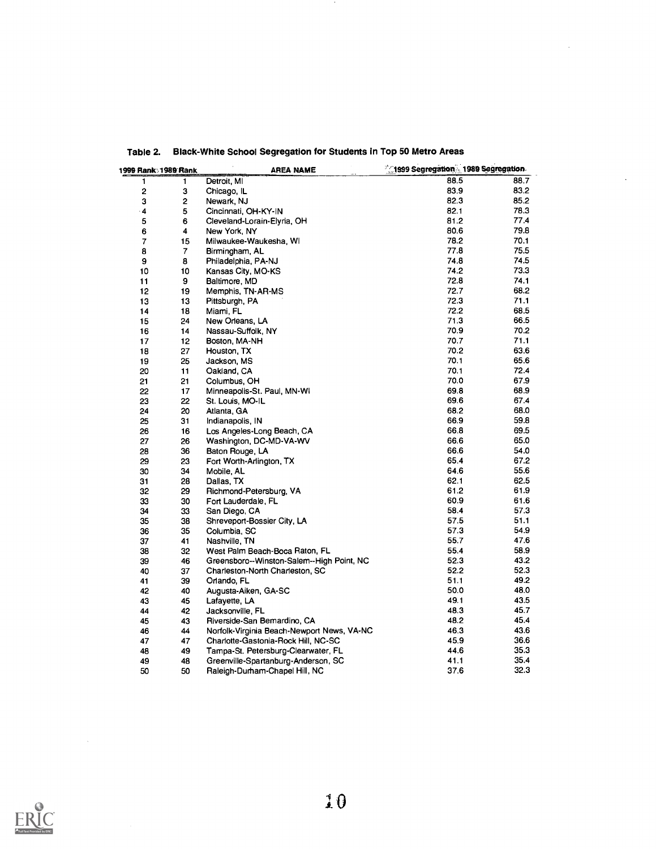| 1999 Rank: 1989 Rank    |                  | AREA NAME                                  | 1999 Segregation 1989 Segregation |              |
|-------------------------|------------------|--------------------------------------------|-----------------------------------|--------------|
| 1                       | 1                | Detroit, MI                                | 88.5                              | 88.7         |
| $\overline{\mathbf{c}}$ | 3                | Chicago, IL                                | 83.9                              | 83.2         |
| 3                       | 2                | Newark, NJ                                 | 82.3                              | 85.2         |
| 4                       | 5                | Cincinnati, OH-KY-IN                       | 82.1                              | 78.3         |
| 5                       | 6                | Cleveland-Lorain-Elyria, OH                | 81.2                              | 77.4         |
| 6                       | 4                | New York, NY                               | 80.6                              | 79.8         |
| 7                       | 15               | Milwaukee-Waukesha, WI                     | 78.2                              | 70.1         |
| 8                       | $\boldsymbol{7}$ | Birmingham, AL                             | 77.8                              | 75.5         |
| 9                       | 8                | Philadelphia, PA-NJ                        | 74.8                              | 74.5         |
| 10                      | 10               | Kansas City, MO-KS                         | 74.2                              | 73.3         |
| 11                      | 9                | Baltimore, MD                              | 72.8                              | 74.1         |
| 12                      | 19               | Memphis, TN-AR-MS                          | 72.7                              | 68.2         |
| 13                      | 13               | Pittsburgh, PA                             | 72.3                              | 71.1         |
| 14                      | 18               | Miami, FL                                  | 72.2                              | 68.5         |
| 15                      | 24               | New Orleans, LA                            | 71.3                              | 66.5         |
| 16                      | 14               | Nassau-Suffolk, NY                         | 70.9                              | 70.2         |
| 17                      | 12               | Boston, MA-NH                              | 70.7                              | 71.1         |
| 18                      | 27               | Houston, TX                                | 70.2                              | 63.6         |
| 19                      | 25               | Jackson, MS                                | 70.1                              | 65.6         |
| 20                      | 11               | Oakland, CA                                | 70.1                              | 72.4         |
| 21                      | 21               | Columbus, OH                               | 70.0                              | 67.9         |
| 22                      | 17               | Minneapolis-St. Paul, MN-WI                | 69.8                              | 68.9         |
| 23                      | 22               | St. Louis, MO-IL                           | 69.6                              | 67.4         |
| 24                      | 20               | Atlanta, GA                                | 68.2                              | 68.0         |
| 25                      | 31               | Indianapolis, IN                           | 66.9                              | 59.8         |
| 26                      | 16               | Los Angeles-Long Beach, CA                 | 66.8                              | 69.5         |
| 27                      | 26               | Washington, DC-MD-VA-WV                    | 66.6                              | 65.0         |
| 28                      | 36               | Baton Rouge, LA                            | 66.6                              | 54.0         |
| 29                      | 23               | Fort Worth-Arlington, TX                   | 65.4                              | 67.2         |
| 30                      | 34               | Mobile, AL                                 | 64.6                              | 55.6         |
| 31                      | 28               | Dallas, TX                                 | 62.1                              | 62.5         |
| 32                      | 29               |                                            | 61.2                              | 61.9         |
|                         |                  | Richmond-Petersburg, VA                    | 60.9                              | 61.6         |
| 33                      | 30               | Fort Lauderdale, FL                        | 58.4                              | 57.3         |
| 34                      | 33<br>38         | San Diego, CA                              | 57.5                              | 51.1         |
| 35                      |                  | Shreveport-Bossier City, LA                | 57.3                              | 54.9         |
| 36                      | 35               | Columbia, SC                               | 55.7                              | 47.6         |
| 37                      | 41               | Nashville, TN                              | 55.4                              | 58.9         |
| 38                      | 32               | West Palm Beach-Boca Raton, FL             |                                   | 43.2         |
| 39                      | 46               | Greensboro--Winston-Salem--High Point, NC  | 52.3                              |              |
| 40                      | 37               | Charleston-North Charleston, SC            | 52.2                              | 52.3<br>49.2 |
| 41                      | 39               | Orlando, FL                                | 51.1                              | 48.0         |
| 42                      | 40               | Augusta-Aiken, GA-SC                       | 50.0                              |              |
| 43                      | 45               | Lafayette, LA                              | 49.1                              | 43.5         |
| 44                      | 42               | Jacksonville, FL                           | 48.3                              | 45.7         |
| 45                      | 43               | Riverside-San Bemardino, CA                | 48.2                              | 45.4         |
| 46                      | 44               | Norfolk-Virginia Beach-Newport News, VA-NC | 46.3                              | 43.6         |
| 47                      | 47               | Charlotte-Gastonia-Rock Hill, NC-SC        | 45.9                              | 36.6         |
| 48                      | 49               | Tampa-St. Petersburg-Clearwater, FL        | 44.6                              | 35.3         |
| 49                      | 48               | Greenville-Spartanburg-Anderson, SC        | 41.1                              | 35.4         |
| 50                      | 50               | Raleigh-Durham-Chapel Hill, NC             | 37.6                              | 32.3         |

# Table 2. Black-White School Segregation for Students in Top 50 Metro Areas

 $\mathcal{A}$ 



 $\mathcal{A}$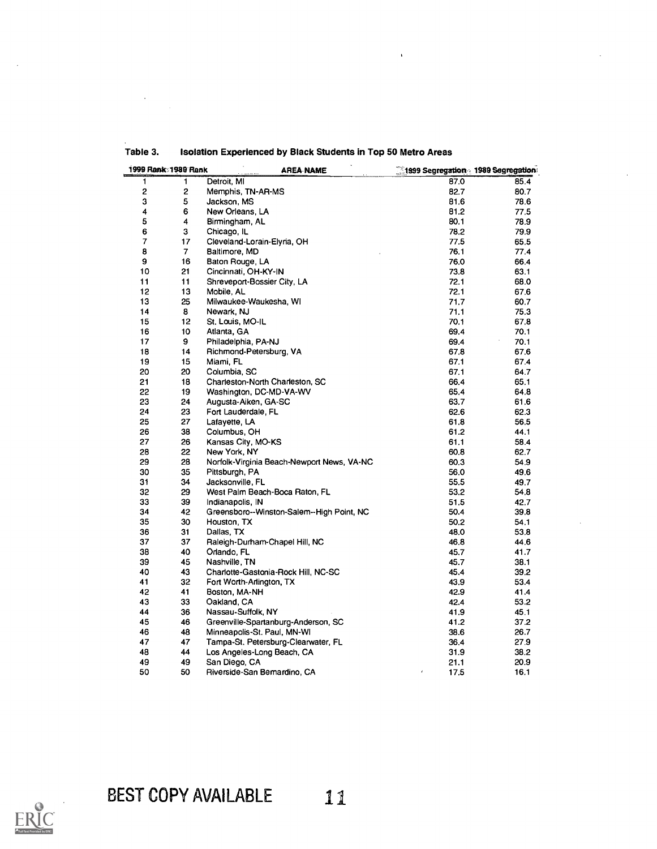| 1999 Rank: 1989 Rank |                | <b>AREA NAME</b>                           | <b>1999 Segregation 1989 Segregation</b> |      |  |
|----------------------|----------------|--------------------------------------------|------------------------------------------|------|--|
| 1                    | 1              | Detroit, MI                                | 87.0                                     | 85.4 |  |
| 2                    | 2              | Memphis, TN-AR-MS                          | 82.7                                     | 80.7 |  |
| 3                    | 5              | Jackson, MS                                | 81.6                                     | 78.6 |  |
| 4                    | 6              | New Orleans, LA                            | 81.2                                     | 77.5 |  |
| 5                    | 4              | Birmingham, AL                             | 80.1                                     | 78.9 |  |
| 6                    | 3              | Chicago, IL                                | 78.2                                     | 79.9 |  |
| 7                    | 17             | Cleveland-Lorain-Elyria, OH                | 77.5                                     | 65.5 |  |
| 8                    | $\overline{7}$ | Baltimore, MD                              | 76.1                                     | 77.4 |  |
| 9                    | 16             | Baton Rouge, LA                            | 76.0                                     | 66.4 |  |
| 10                   | 21             | Cincinnati, OH-KY-IN                       | 73.8                                     | 63.1 |  |
| 11                   | 11             | Shreveport-Bossier City, LA                | 72.1                                     | 68.0 |  |
| 12                   | 13             | Mobile, AL                                 | 72.1                                     | 67.6 |  |
| 13                   | 25             | Milwaukee-Waukesha, WI                     | 71.7                                     | 60.7 |  |
| 14                   | 8              | Newark, NJ                                 | 71.1                                     | 75.3 |  |
| 15                   | 12             | St. Louis, MO-IL                           | 70.1                                     | 67.8 |  |
| 16                   | 10             | Atlanta, GA                                | 69.4                                     | 70.1 |  |
| 17                   | 9              | Philadelphia, PA-NJ                        | 69.4                                     | 70.1 |  |
| 18                   | 14             | Richmond-Petersburg, VA                    | 67.8                                     | 67.6 |  |
| 19                   | 15             | Miami, FL                                  | 67.1                                     | 67.4 |  |
|                      |                |                                            |                                          |      |  |
| 20                   | 20             | Columbia, SC                               | 67.1                                     | 64.7 |  |
| 21                   | 18             | Charleston-North Charleston, SC            | 66.4                                     | 65.1 |  |
| 22                   | 19             | Washington, DC-MD-VA-WV                    | 65.4                                     | 64.8 |  |
| 23                   | 24             | Augusta-Aiken, GA-SC                       | 63.7                                     | 61.6 |  |
| 24                   | 23             | Fort Lauderdale, FL                        | 62.6                                     | 62.3 |  |
| 25                   | 27             | Lafayette, LA                              | 61.8                                     | 56.5 |  |
| 26                   | 38             | Columbus, OH                               | 61.2                                     | 44.1 |  |
| 27                   | 26             | Kansas City, MO-KS                         | 61.1                                     | 58.4 |  |
| 28                   | 22             | New York, NY                               | 60.8                                     | 62.7 |  |
| 29                   | 28             | Norfolk-Virginia Beach-Newport News, VA-NC | 60.3                                     | 54.9 |  |
| 30                   | 35             | Pittsburgh, PA                             | 56.0                                     | 49.6 |  |
| 31                   | 34             | Jacksonville, FL                           | 55.5                                     | 49.7 |  |
| 32                   | 29             | West Palm Beach-Boca Raton, FL             | 53.2                                     | 54.8 |  |
| 33                   | 39             | Indianapolis, IN                           | 51.5                                     | 42.7 |  |
| 34                   | 42             | Greensboro--Winston-Salem--High Point, NC  | 50.4                                     | 39.8 |  |
| 35                   | 30             | Houston, TX                                | 50.2                                     | 54.1 |  |
| 36                   | 31             | Dallas, TX                                 | 48.0                                     | 53.8 |  |
| 37                   | 37             | Raleigh-Durham-Chapel Hill, NC             | 46.8                                     | 44.6 |  |
| 38                   | 40             | Orlando, FL                                | 45.7                                     | 41.7 |  |
| 39                   | 45             | Nashville, TN                              | 45.7                                     | 38.1 |  |
| 40                   | 43             | Charlotte-Gastonia-Rock Hill, NC-SC        | 45.4                                     | 39.2 |  |
| 41                   | 32             | Fort Worth-Arlington, TX                   | 43.9                                     | 53.4 |  |
| 42                   | 41             | Boston, MA-NH                              | 42.9                                     | 41.4 |  |
| 43                   | 33             | Oakland, CA                                | 42.4                                     | 53.2 |  |
| 44                   | 36             | Nassau-Suffolk, NY                         | 41.9                                     | 45.1 |  |
| 45                   | 46             | Greenville-Spartanburg-Anderson, SC        | 41.2                                     | 37.2 |  |
| 46                   | 48             | Minneapolis-St. Paul, MN-WI                | 38.6                                     | 26.7 |  |
| 47                   | 47             | Tampa-St. Petersburg-Clearwater, FL        | 36.4                                     | 27.9 |  |
| 48                   | 44             | Los Angeles-Long Beach, CA                 | 31.9                                     | 38.2 |  |
| 49                   | 49             | San Diego, CA                              | 21.1                                     | 20.9 |  |
| 50                   | 50             | Riverside-San Bemardino, CA                | $\pmb{\epsilon}$<br>17.5                 | 16.1 |  |

Table 3. Isolation Experienced by Black Students in Top 50 Metro Areas

 $\ddot{\phantom{0}}$ 

 $\ddot{\phantom{0}}$ 

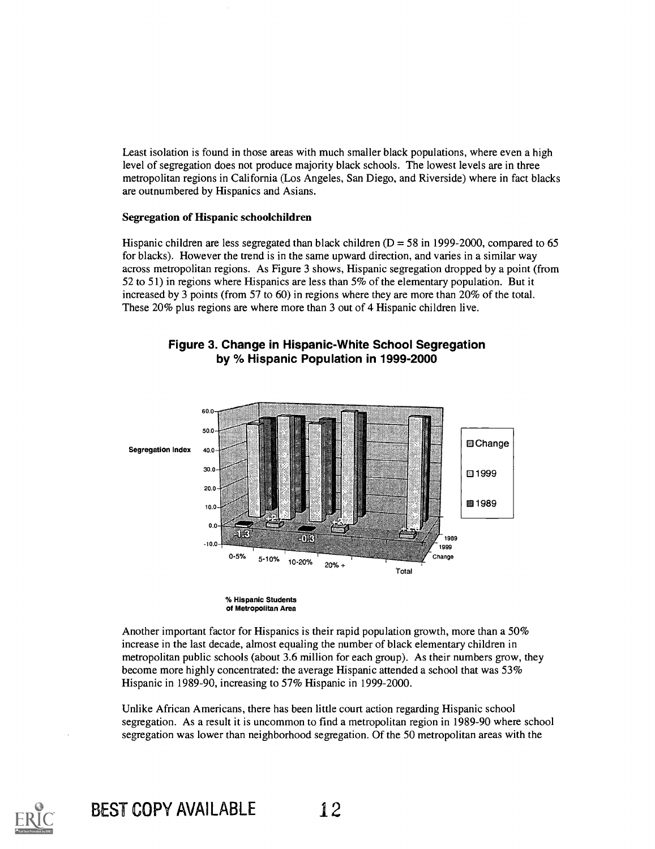Least isolation is found in those areas with much smaller black populations, where even a high level of segregation does not produce majority black schools. The lowest levels are in three metropolitan regions in California (Los Angeles, San Diego, and Riverside) where in fact blacks are outnumbered by Hispanics and Asians.

### Segregation of Hispanic schoolchildren

Hispanic children are less segregated than black children ( $D = 58$  in 1999-2000, compared to 65 for blacks). However the trend is in the same upward direction, and varies in a similar way across metropolitan regions. As Figure 3 shows, Hispanic segregation dropped by a point (from 52 to 51) in regions where Hispanics are less than 5% of the elementary population. But it increased by 3 points (from 57 to 60) in regions where they are more than 20% of the total. These 20% plus regions are where more than 3 out of 4 Hispanic children live.





% Hispanic Students of Metropolitan Area

Another important factor for Hispanics is their rapid population growth, more than a 50% increase in the last decade, almost equaling the number of black elementary children in metropolitan public schools (about 3.6 million for each group). As their numbers grow, they become more highly concentrated: the average Hispanic attended a school that was 53% Hispanic in 1989-90, increasing to 57% Hispanic in 1999-2000.

Unlike African Americans, there has been little court action regarding Hispanic school segregation. As a result it is uncommon to find a metropolitan region in 1989-90 where school segregation was lower than neighborhood segregation. Of the 50 metropolitan areas with the



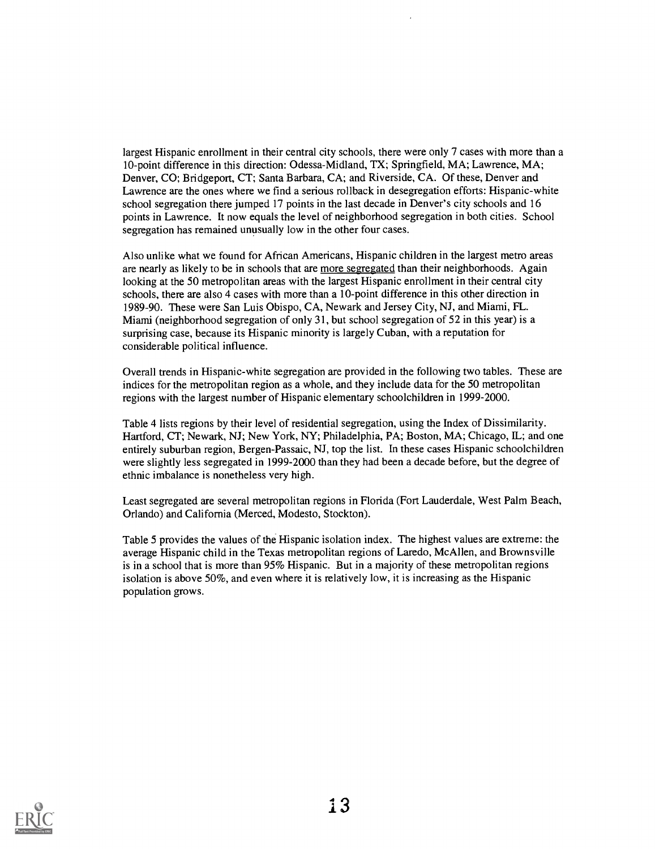largest Hispanic enrollment in their central city schools, there were only 7 cases with more than a 10-point difference in this direction: Odessa-Midland, TX; Springfield, MA; Lawrence, MA; Denver, CO; Bridgeport, CT; Santa Barbara, CA; and Riverside, CA. Of these, Denver and Lawrence are the ones where we find a serious rollback in desegregation efforts: Hispanic-white school segregation there jumped 17 points in the last decade in Denver's city schools and 16 points in Lawrence. It now equals the level of neighborhood segregation in both cities. School segregation has remained unusually low in the other four cases.

Also unlike what we found for African Americans, Hispanic children in the largest metro areas are nearly as likely to be in schools that are more segregated than their neighborhoods. Again looking at the 50 metropolitan areas with the largest Hispanic enrollment in their central city schools, there are also 4 cases with more than a 10-point difference in this other direction in 1989-90. These were San Luis Obispo, CA, Newark and Jersey City, NJ, and Miami, FL. Miami (neighborhood segregation of only 31, but school segregation of 52 in this year) is a surprising case, because its Hispanic minority is largely Cuban, with a reputation for considerable political influence.

Overall trends in Hispanic-white segregation are provided in the following two tables. These are indices for the metropolitan region as a whole, and they include data for the 50 metropolitan regions with the largest number of Hispanic elementary schoolchildren in 1999-2000.

Table 4 lists regions by their level of residential segregation, using the Index of Dissimilarity. Hartford, CT; Newark, NJ; New York, NY; Philadelphia, PA; Boston, MA; Chicago, IL; and one entirely suburban region, Bergen-Passaic, NJ, top the list. In these cases Hispanic schoolchildren were slightly less segregated in 1999-2000 than they had been a decade before, but the degree of ethnic imbalance is nonetheless very high.

Least segregated are several metropolitan regions in Florida (Fort Lauderdale, West Palm Beach, Orlando) and California (Merced, Modesto, Stockton).

Table 5 provides the values of the Hispanic isolation index. The highest values are extreme: the average Hispanic child in the Texas metropolitan regions of Laredo, McAllen, and Brownsville is in a school that is more than 95% Hispanic. But in a majority of these metropolitan regions isolation is above 50%, and even where it is relatively low, it is increasing as the Hispanic population grows.

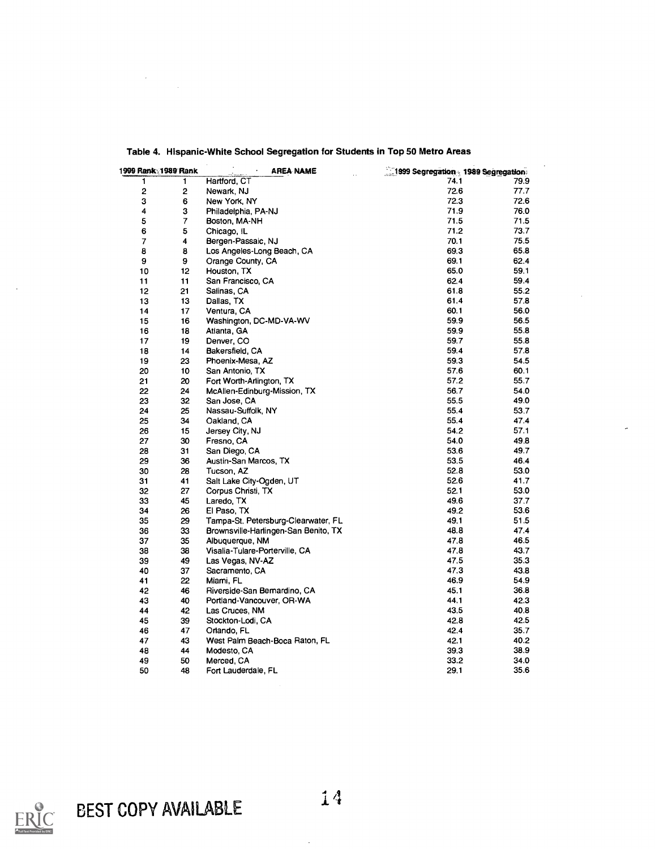| 1999 Rank 1989 Rank |    | <b>AREA NAME</b>                     | 1999 Segregation 1989 Segregation |      |
|---------------------|----|--------------------------------------|-----------------------------------|------|
| 1                   | 1  | Hartford, CT                         | 74.1                              | 79.9 |
| $\overline{c}$      | 2  | Newark, NJ                           | 72.6                              | 77.7 |
| з                   | 6  | New York, NY                         | 72.3                              | 72.6 |
| 4                   | 3  | Philadelphia, PA-NJ                  | 71.9                              | 76.0 |
| 5                   | 7  | Boston, MA-NH                        | 71.5                              | 71.5 |
| 6                   | 5  | Chicago, IL                          | 71.2                              | 73.7 |
| $\overline{7}$      | 4  | Bergen-Passaic, NJ                   | 70.1                              | 75.5 |
| 8                   | 8  | Los Angeles-Long Beach, CA           | 69.3                              | 65.8 |
| 9                   | 9  | Orange County, CA                    | 69.1                              | 62.4 |
| 10                  | 12 | Houston, TX                          | 65.0                              | 59.1 |
| 11                  | 11 | San Francisco, CA                    | 62.4                              | 59.4 |
| 12                  | 21 | Salinas, CA                          | 61.8                              | 55.2 |
| 13                  | 13 | Dallas, TX                           | 61.4                              | 57.8 |
| 14                  | 17 | Ventura, CA                          | 60.1                              | 56.0 |
| 15                  | 16 | Washington, DC-MD-VA-WV              | 59.9                              | 56.5 |
| 16                  | 18 | Atlanta, GA                          | 59.9                              | 55.8 |
| 17                  | 19 | Denver, CO                           | 59.7                              | 55.8 |
| 18                  | 14 | Bakersfield, CA                      | 59.4                              | 57.8 |
| 19                  | 23 | Phoenix-Mesa, AZ                     | 59.3                              | 54.5 |
| 20                  |    |                                      | 57.6                              | 60.1 |
|                     | 10 | San Antonio, TX                      | 57.2                              | 55.7 |
| 21                  | 20 | Fort Worth-Arlington, TX             |                                   |      |
| 22                  | 24 | McAllen-Edinburg-Mission, TX         | 56.7                              | 54.0 |
| 23                  | 32 | San Jose, CA                         | 55.5                              | 49.0 |
| 24                  | 25 | Nassau-Suffolk, NY                   | 55.4                              | 53.7 |
| 25                  | 34 | Oakland, CA                          | 55.4                              | 47.4 |
| 26                  | 15 | Jersey City, NJ                      | 54.2                              | 57.1 |
| 27                  | 30 | Fresno, CA                           | 54.0                              | 49.8 |
| 28                  | 31 | San Diego, CA                        | 53.6                              | 49.7 |
| 29                  | 36 | Austin-San Marcos, TX                | 53.5                              | 46.4 |
| 30                  | 28 | Tucson, AZ                           | 52.8                              | 53.0 |
| 31                  | 41 | Salt Lake City-Ogden, UT             | 52.6                              | 41.7 |
| 32                  | 27 | Corpus Christi, TX                   | 52.1                              | 53.0 |
| 33                  | 45 | Laredo, TX                           | 49.6                              | 37.7 |
| 34                  | 26 | El Paso, TX                          | 49.2                              | 53.6 |
| 35                  | 29 | Tampa-St. Petersburg-Clearwater, FL  | 49.1                              | 51.5 |
| 36                  | 33 | Brownsville-Harlingen-San Benito, TX | 48.8                              | 47.4 |
| 37                  | 35 | Albuquerque, NM                      | 47.8                              | 46.5 |
| 38                  | 38 | Visalia-Tulare-Porterville, CA       | 47.8                              | 43.7 |
| 39                  | 49 | Las Vegas, NV-AZ                     | 47.5                              | 35.3 |
| 40                  | 37 | Sacramento, CA                       | 47.3                              | 43.8 |
| 41                  | 22 | Miami, FL                            | 46.9                              | 54.9 |
| 42                  | 46 | Riverside-San Bemardino, CA          | 45.1                              | 36.8 |
| 43                  | 40 | Portland-Vancouver, OR-WA            | 44.1                              | 42.3 |
| 44                  | 42 | Las Cruces, NM                       | 43.5                              | 40.8 |
| 45                  | 39 | Stockton-Lodi, CA                    | 42.8                              | 42.5 |
| 46                  | 47 | Orlando, FL                          | 42.4                              | 35.7 |
| 47                  | 43 | West Palm Beach-Boca Raton, FL       | 42.1                              | 40.2 |
| 48                  | 44 | Modesto, CA                          | 39.3                              | 38.9 |
| 49                  | 50 | Merced, CA                           | 33.2                              | 34.0 |
| 50                  | 48 | Fort Lauderdale, FL                  | 29.1                              | 35.6 |

### Table 4. Hispanic-White School Segregation for Students in Top 50 Metro Areas



 $\overline{a}$ 

 $\bar{\beta}$  $\label{eq:1} \frac{1}{\sqrt{2\pi}}\int_{0}^{\pi} \frac{1}{\sqrt{2\pi}}\,d\mu$ 

 $\ddot{\phantom{a}}$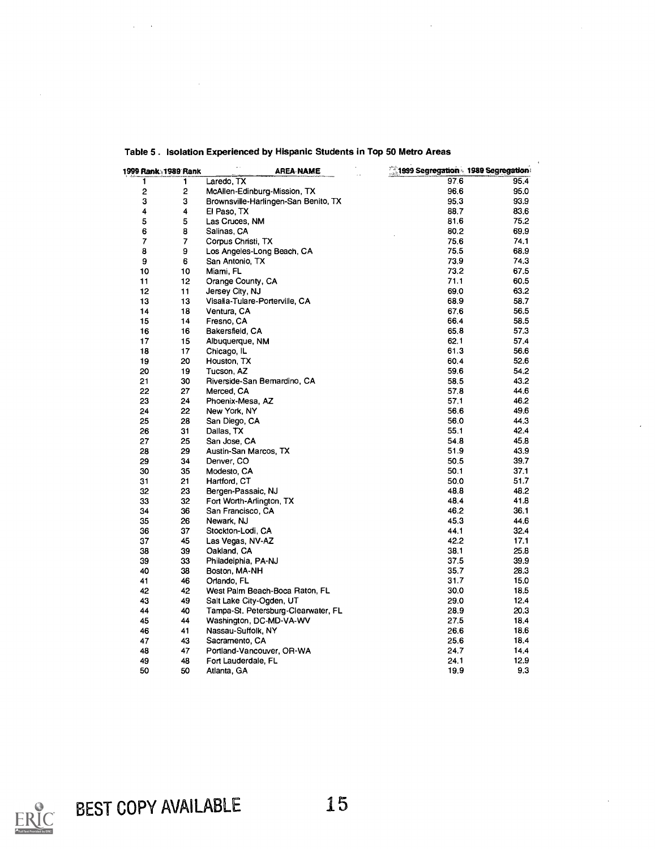| 1999 Rank 1989 Rank |           | <b>AREA NAME</b>                     | 1999 Segregation 1989 Segregation: |      |
|---------------------|-----------|--------------------------------------|------------------------------------|------|
| 1                   | 1         | Laredo, TX                           | 97.6                               | 95.4 |
| 2                   | 2         | McAllen-Edinburg-Mission, TX         | 96.6                               | 95.0 |
| 3                   | 3         | Brownsville-Harlingen-San Benito, TX | 95.3                               | 93.9 |
| 4                   | 4         | El Paso, TX                          | 88.7                               | 83.6 |
| 5                   | 5         | Las Cruces, NM                       | 81.6                               | 75.2 |
| 6                   | 8         | Salinas, CA                          | 80.2                               | 69.9 |
| 7                   | $\pmb{7}$ | Corpus Christi, TX                   | 75.6                               | 74.1 |
| 8                   | 9         | Los Angeles-Long Beach, CA           | 75.5                               | 68.9 |
| 9                   | 6         | San Antonio, TX                      | 73.9                               | 74.3 |
| 10                  | 10        | Miami, FL                            | 73.2                               | 67.5 |
| 11                  | 12        | Orange County, CA                    | 71.1                               | 60.5 |
| 12                  | 11        | Jersey City, NJ                      | 69.0                               | 63.2 |
| 13                  | 13        | Visalia-Tulare-Porterville, CA       | 68.9                               | 58.7 |
| 14                  | 18        | Ventura, CA                          | 67.6                               | 56.5 |
| 15                  | 14        | Fresno, CA                           | 66.4                               | 58.5 |
| 16                  | 16        | Bakersfield, CA                      | 65.8                               | 57.3 |
| 17                  | 15        | Albuquerque, NM                      | 62.1                               | 57.4 |
| 18                  | 17        | Chicago, IL                          | 61.3                               | 56.6 |
| 19                  | 20        | Houston, TX                          | 60.4                               | 52.6 |
| 20                  | 19        | Tucson, AZ                           | 59.6                               | 54.2 |
| 21                  | 30        | Riverside-San Bemardino, CA          | 58.5                               | 43.2 |
| 22                  | 27        | Merced, CA                           | 57.8                               | 44.6 |
| 23                  | 24        | Phoenix-Mesa, AZ                     | 57.1                               | 46.2 |
| 24                  | 22        | New York, NY                         | 56.6                               | 49.6 |
| 25                  | 28        | San Diego, CA                        | 56.0                               | 44.3 |
| 26                  | 31        | Dallas, TX                           | 55.1                               | 42.4 |
| 27                  | 25        | San Jose, CA                         | 54.8                               | 45.8 |
| 28                  | 29        | Austin-San Marcos, TX                | 51.9                               | 43.9 |
| 29                  | 34        | Denver, CO                           | 50.5                               | 39.7 |
| 30                  | 35        | Modesto, CA                          | 50.1                               | 37.1 |
| 31                  | 21        | Hartford, CT                         | 50.0                               | 51.7 |
| 32                  | 23        | Bergen-Passaic, NJ                   | 48.8                               | 48.2 |
| 33                  | 32        | Fort Worth-Arlington, TX             | 48.4                               | 41.8 |
| 34                  | 36        | San Francisco, CA                    | 46.2                               | 36.1 |
| 35                  | 26        | Newark, NJ                           | 45.3                               | 44.6 |
| 36                  | 37        | Stockton-Lodi, CA                    | 44.1                               | 32.4 |
| 37                  | 45        | Las Vegas, NV-AZ                     | 42.2                               | 17.1 |
| 38                  | 39        | Oakland, CA                          | 38.1                               | 25.8 |
| 39                  | 33        | Philadelphia, PA-NJ                  | 37.5                               | 39.9 |
| 40                  | 38        | Boston, MA-NH                        | 35.7                               | 28.3 |
| 41                  | 46        | Orlando, FL                          | 31.7                               | 15.0 |
| 42                  | 42        | West Palm Beach-Boca Raton, FL       | 30.0                               | 18.5 |
| 43                  | 49        | Salt Lake City-Ogden, UT             | 29.0                               | 12.4 |
| 44                  | 40        | Tampa-St. Petersburg-Clearwater, FL  | 28.9                               | 20.3 |
| 45                  | 44        | Washington, DC-MD-VA-WV              | 27.5                               | 18.4 |
| 46                  | 41        | Nassau-Suffolk, NY                   | 26.6                               | 18.6 |
| 47                  | 43        | Sacramento, CA                       | 25.6                               | 18.4 |
| 48                  | 47        | Portland-Vancouver, OR-WA            | 24.7                               | 14.4 |
| 49                  | 48        | Fort Lauderdale, FL                  | 24.1                               | 12.9 |
| 50                  | 50        | Atlanta, GA                          | 19.9                               | 9.3  |
|                     |           |                                      |                                    |      |

## Table 5 . Isolation Experienced by Hispanic Students in Top 50 Metro Areas

 $\bar{z}$ 

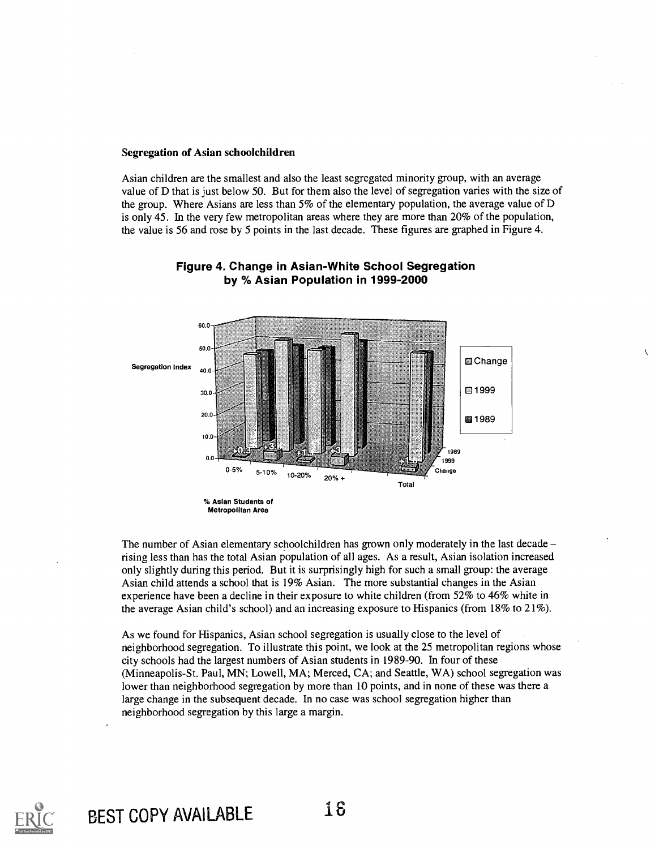#### Segregation of Asian schoolchildren

Asian children are the smallest and also the least segregated minority group, with an average value of D that is just below 50. But for them also the level of segregation varies with the size of the group. Where Asians are less than 5% of the elementary population, the average value of D is only 45. In the very few metropolitan areas where they are more than 20% of the population, the value is 56 and rose by 5 points in the last decade. These figures are graphed in Figure 4.

 $\sqrt{2}$ 



## Figure 4. Change in Asian-White School Segregation by % Asian Population in 1999-2000

The number of Asian elementary schoolchildren has grown only moderately in the last decade – rising less than has the total Asian population of all ages. As a result, Asian isolation increased only slightly during this period. But it is surprisingly high for such a small group: the average Asian child attends a school that is 19% Asian. The more substantial changes in the Asian experience have been a decline in their exposure to white children (from 52% to 46% white in the average Asian child's school) and an increasing exposure to Hispanics (from 18% to 21%).

As we found for Hispanics, Asian school segregation is usually close to the level of neighborhood segregation. To illustrate this point, we look at the 25 metropolitan regions whose city schools had the largest numbers of Asian students in 1989-90. In four of these (Minneapolis-St. Paul, MN; Lowell, MA; Merced, CA; and Seattle, WA) school segregation was lower than neighborhood segregation by more than 10 points, and in none of these was there a large change in the subsequent decade. In no case was school segregation higher than neighborhood segregation by this large a margin.

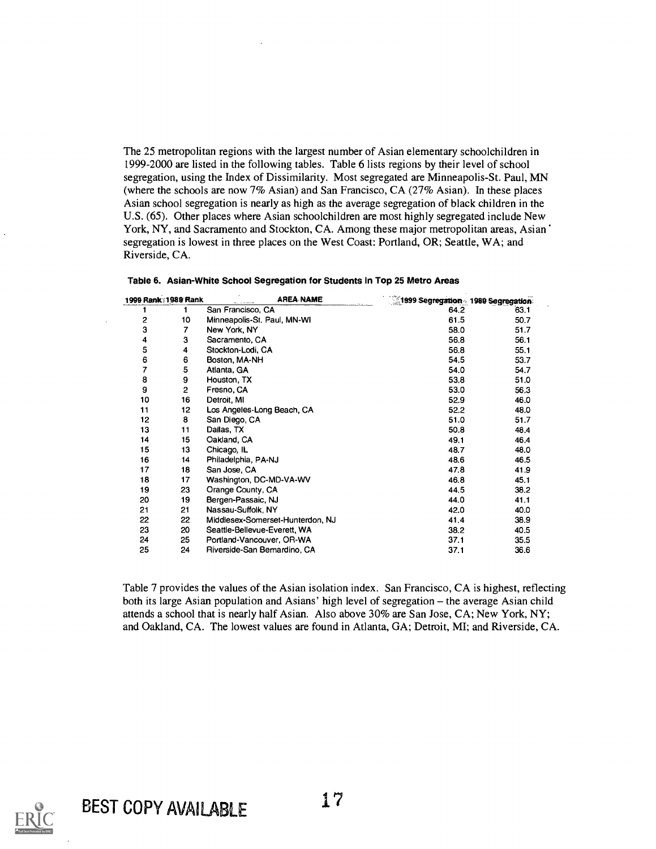The 25 metropolitan regions with the largest number of Asian elementary schoolchildren in 1999-2000 are listed in the following tables. Table 6 lists regions by their level of school segregation, using the Index of Dissimilarity. Most segregated are Minneapolis-St. Paul, MN (where the schools are now 7% Asian) and San Francisco, CA (27% Asian). In these places Asian school segregation is nearly as high as the average segregation of black children in the U.S. (65). Other places where Asian schoolchildren are most highly segregated include New York, NY, and Sacramento and Stockton, CA. Among these major metropolitan areas, Asian segregation is lowest in three places on the West Coast: Portland, OR; Seattle, WA; and Riverside, CA.

| 1999 Rank 1989 Rank |                | AREA NAME                        | 1999 Segregation 1989 Segregation. |      |
|---------------------|----------------|----------------------------------|------------------------------------|------|
|                     |                | San Francisco, CA                | 64.2                               | 63.1 |
| 2                   | 10             | Minneapolis-St. Paul, MN-WI      | 61.5                               | 50.7 |
| 3                   | 7              | New York, NY                     | 58.0                               | 51.7 |
| 4                   | 3              | Sacramento, CA                   | 56.8                               | 56.1 |
| 5                   | 4              | Stockton-Lodi, CA                | 56.8                               | 55.1 |
| 6                   | 6              | Boston, MA-NH                    | 54.5                               | 53.7 |
| 7                   | 5              | Atlanta, GA                      | 54.0                               | 54.7 |
| 8                   | 9              | Houston, TX                      | 53.8                               | 51.0 |
| 9                   | $\overline{2}$ | Fresno, CA                       | 53.0                               | 56.3 |
| 10                  | 16             | Detroit, MI                      | 52.9                               | 46.0 |
| 11                  | 12             | Los Angeles-Long Beach, CA       | 52.2                               | 48.0 |
| 12                  | 8              | San Diego, CA                    | 51.0                               | 51.7 |
| 13                  | 11             | Dallas, TX                       | 50.8                               | 48.4 |
| 14                  | 15             | Oakland, CA                      | 49.1                               | 46.4 |
| 15                  | 13             | Chicago, IL                      | 48.7                               | 48.0 |
| 16                  | 14             | Philadelphia, PA-NJ              | 48.6                               | 46.5 |
| 17                  | 18             | San Jose, CA                     | 47.8                               | 41.9 |
| 18                  | 17             | Washington, DC-MD-VA-WV          | 46.8                               | 45.1 |
| 19                  | 23             | Orange County, CA                | 44.5                               | 38.2 |
| 20                  | 19             | Bergen-Passaic, NJ               | 44.0                               | 41.1 |
| 21                  | 21             | Nassau-Suffolk, NY               | 42.0                               | 40.0 |
| 22                  | 22             | Middlesex-Somerset-Hunterdon, NJ | 41.4                               | 38.9 |
| 23                  | 20             | Seattle-Bellevue-Everett, WA     | 38.2                               | 40.5 |
| 24                  | 25             | Portland-Vancouver, OR-WA        | 37.1                               | 35.5 |
| 25                  | 24             | Riverside-San Bemardino, CA      | 37.1                               | 36.6 |

|  |  | Table 6. Asian-White School Segregation for Students in Top 25 Metro Areas |  |
|--|--|----------------------------------------------------------------------------|--|
|--|--|----------------------------------------------------------------------------|--|

Table 7 provides the values of the Asian isolation index. San Francisco, CA is highest, reflecting both its large Asian population and Asians' high level of segregation - the average Asian child attends a school that is nearly half Asian. Also above 30% are San Jose, CA; New York, NY; and Oakland, CA. The lowest values are found in Atlanta, GA; Detroit, MI; and Riverside, CA.

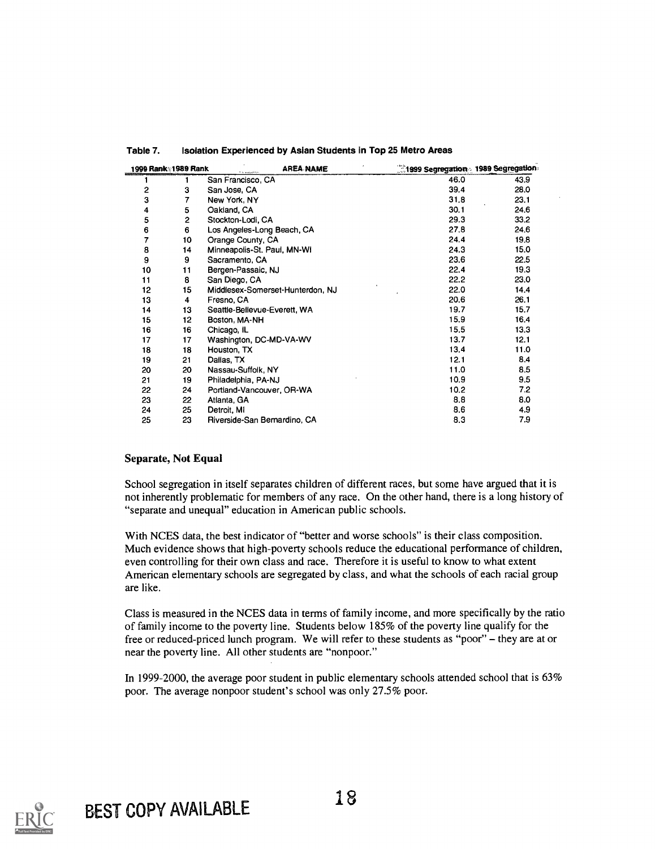|    | 1999 Rank: 1989 Rank | <b>AREA NAME</b>                 | 1999 Segregation 1989 Segregation |      |
|----|----------------------|----------------------------------|-----------------------------------|------|
|    |                      | San Francisco, CA                | 46.0                              | 43.9 |
| 2  | 3                    | San Jose, CA                     | 39.4                              | 28.0 |
| з  | 7                    | New York, NY                     | 31.8                              | 23.1 |
| 4  | 5                    | Oakland, CA                      | 30.1                              | 24.6 |
| 5  | 2                    | Stockton-Lodi, CA                | 29.3                              | 33.2 |
| 6  | 6                    | Los Angeles-Long Beach, CA       | 27.8                              | 24.6 |
| 7  | 10                   | Orange County, CA                | 24.4                              | 19.8 |
| 8  | 14                   | Minneapolis-St. Paul, MN-WI      | 24.3                              | 15.0 |
| 9  | 9                    | Sacramento, CA                   | 23.6                              | 22.5 |
| 10 | 11                   | Bergen-Passaic, NJ               | 22.4                              | 19.3 |
| 11 | 8                    | San Diego, CA                    | 22.2                              | 23.0 |
| 12 | 15                   | Middlesex-Somerset-Hunterdon, NJ | 22.0                              | 14,4 |
| 13 | 4                    | Fresno, CA                       | 20.6                              | 26.1 |
| 14 | 13                   | Seattle-Bellevue-Everett, WA     | 19.7                              | 15.7 |
| 15 | 12                   | Boston, MA-NH                    | 15.9                              | 16.4 |
| 16 | 16                   | Chicago, IL                      | 15,5                              | 13.3 |
| 17 | 17                   | Washington, DC-MD-VA-WV          | 13.7                              | 12.1 |
| 18 | 18                   | Houston, TX                      | 13.4                              | 11.0 |
| 19 | 21                   | Dallas, TX                       | 12.1                              | 8.4  |
| 20 | 20                   | Nassau-Suffolk, NY               | 11.0                              | 8.5  |
| 21 | 19                   | Philadelphia, PA-NJ              | 10.9                              | 9.5  |
| 22 | 24                   | Portland-Vancouver, OR-WA        | 10.2                              | 7.2  |
| 23 | 22                   | Atlanta, GA                      | 8.8                               | 8.0  |
| 24 | 25                   | Detroit, MI                      | 8.6                               | 4.9  |
| 25 | 23                   | Riverside-San Bernardino, CA     | 8.3                               | 7.9  |

#### Table 7. Isolation Experienced by Asian Students in Top 25 Metro Areas

#### Separate, Not Equal

School segregation in itself separates children of different races, but some have argued that it is not inherently problematic for members of any race. On the other hand, there is a long history of "separate and unequal" education in American public schools.

With NCES data, the best indicator of "better and worse schools" is their class composition. Much evidence shows that high-poverty schools reduce the educational performance of children, even controlling for their own class and race. Therefore it is useful to know to what extent American elementary schools are segregated by class, and what the schools of each racial group are like.

Class is measured in the NCES data in terms of family income, and more specifically by the ratio of family income to the poverty line. Students below 185% of the poverty line qualify for the free or reduced-priced lunch program. We will refer to these students as "poor" - they are at or near the poverty line. All other students are "nonpoor."

In 1999-2000, the average poor student in public elementary schools attended school that is 63% poor. The average nonpoor student's school was only 27.5% poor.

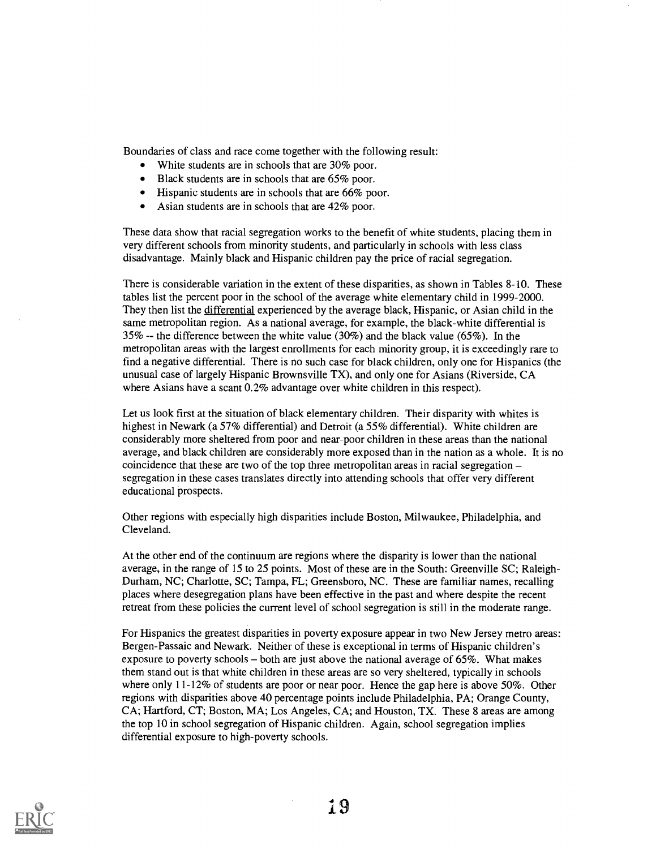Boundaries of class and race come together with the following result:

- White students are in schools that are 30% poor.
- Black students are in schools that are 65% poor.
- Hispanic students are in schools that are 66% poor.
- Asian students are in schools that are 42% poor.

These data show that racial segregation works to the benefit of white students, placing them in very different schools from minority students, and particularly in schools with less class disadvantage. Mainly black and Hispanic children pay the price of racial segregation.

There is considerable variation in the extent of these disparities, as shown in Tables 8-10. These tables list the percent poor in the school of the average white elementary child in 1999-2000. They then list the differential experienced by the average black, Hispanic, or Asian child in the same metropolitan region. As a national average, for example, the black-white differential is 35% -- the difference between the white value (30%) and the black value (65%). In the metropolitan areas with the largest enrollments for each minority group, it is exceedingly rare to find a negative differential. There is no such case for black children, only one for Hispanics (the unusual case of largely Hispanic Brownsville TX), and only one for Asians (Riverside, CA where Asians have a scant 0.2% advantage over white children in this respect).

Let us look first at the situation of black elementary children. Their disparity with whites is highest in Newark (a 57% differential) and Detroit (a 55% differential). White children are considerably more sheltered from poor and near-poor children in these areas than the national average, and black children are considerably more exposed than in the nation as a whole. It is no coincidence that these are two of the top three metropolitan areas in racial segregation segregation in these cases translates directly into attending schools that offer very different educational prospects.

Other regions with especially high disparities include Boston, Milwaukee, Philadelphia, and Cleveland.

At the other end of the continuum are regions where the disparity is lower than the national average, in the range of 15 to 25 points. Most of these are in the South: Greenville SC; Raleigh-Durham, NC; Charlotte, SC; Tampa, FL; Greensboro, NC. These are familiar names, recalling places where desegregation plans have been effective in the past and where despite the recent retreat from these policies the current level of school segregation is still in the moderate range.

For Hispanics the greatest disparities in poverty exposure appear in two New Jersey metro areas: Bergen-Passaic and Newark. Neither of these is exceptional in terms of Hispanic children's exposure to poverty schools  $-$  both are just above the national average of 65%. What makes them stand out is that white children in these areas are so very sheltered, typically in schools where only 11-12% of students are poor or near poor. Hence the gap here is above 50%. Other regions with disparities above 40 percentage points include Philadelphia, PA; Orange County, CA; Hartford, CT; Boston, MA; Los Angeles, CA; and Houston, TX. These 8 areas are among the top 10 in school segregation of Hispanic children. Again, school segregation implies differential exposure to high-poverty schools.

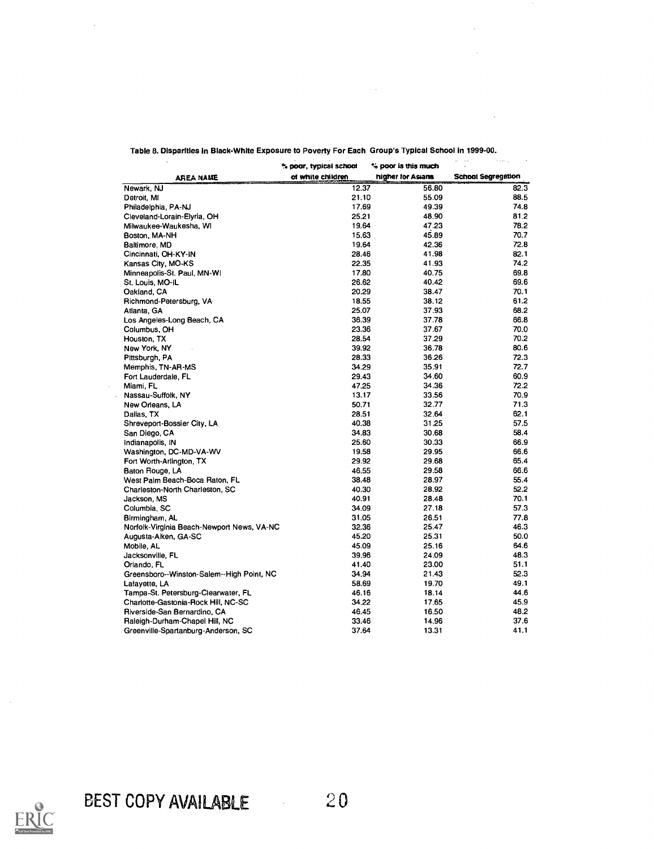|                                            | % poor, typical school | % poor is this much | $\cdots$<br>and the contract of |
|--------------------------------------------|------------------------|---------------------|---------------------------------|
| <b>AREA NAME</b>                           | of white children      | higher for Asians   | <b>School Segregation</b>       |
| Newark, NJ                                 | 12.37                  | 56.80               | 82.3                            |
| Detroit, MI                                | 21.10                  | 55.09               | 88.5                            |
| Philadelphia, PA-NJ                        | 17.69                  | 49.39               | 74.8                            |
| Cleveland-Lorain-Elyria, OH                | 25.21                  | 48.90               | 81.2                            |
| Milwaukee-Waukesha, WI                     | 19.64                  | 47.23               | 78.2                            |
| Boston, MA-NH                              | 15.63                  | 45.89               | 70.7                            |
| Baltimore, MD                              | 19.64                  | 42.36               | 72.8                            |
| Cincinnati, OH-KY-IN                       | 28.46                  | 41.98               | 82.1                            |
| Kansas City, MO-KS                         | 22.35                  | 41.93               | 74.2                            |
| Minneapolis-St. Paul, MN-WI                | 17.80                  | 40.75               | 69.8                            |
| St. Louis, MO-IL                           | 26.62                  | 40.42               | 69.6                            |
| Oakland, CA                                | 20.29                  | 38.47               | 70.1                            |
| Richmond-Petersburg, VA                    | 18.55                  | 38.12               | 61.2                            |
| Atlanta, GA                                | 25.07                  | 37.93               | 68.2                            |
| Los Angeles-Long Beach, CA                 | 36.39                  | 37.78               | 66.8                            |
| Columbus, OH                               | 23.36                  | 37.67               | 70.0                            |
| Houston, TX                                | 28.54                  | 37.29               | 70.2                            |
| New York, NY                               | 39.92                  | 36.78               | 80.6                            |
| Pittsburgh, PA                             | 28.33                  | 36.26               | 72.3                            |
| Memphis, TN-AR-MS                          | 34.29                  | 35.91               | 72.7                            |
| Fort Lauderdale, FL                        | 29.43                  | 34.60               | 60.9                            |
| Miami, FL                                  | 47.25                  | 34.36               | 72.2                            |
| Nassau-Suffolk, NY                         | 13.17                  | 33.56               | 70.9                            |
|                                            | 50.71                  | 32.77               | 71.3                            |
| New Orleans, LA                            | 28.51                  | 32.64               | 62.1                            |
| Dallas, TX                                 | 40.38                  | 31.25               | 57.5                            |
| Shreveport-Bossier City, LA                | 34.83                  | 30.68               | 58.4                            |
| San Diego, CA                              | 25.60                  |                     | 66.9                            |
| Indianapolis, IN                           |                        | 30.33               | 66.6                            |
| Washington, DC-MD-VA-WV                    | 19.58                  | 29.95               | 65.4                            |
| Fort Worth-Arlington, TX                   | 29.92                  | 29.68               |                                 |
| Baton Rouge, LA                            | 46.55                  | 29.58               | 66.6                            |
| West Palm Beach-Boca Raton, FL             | 38.48                  | 28.97               | 55.4                            |
| Charleston-North Charleston, SC            | 40.30                  | 28.92               | 52.2                            |
| Jackson, MS                                | 40.91                  | 28.48               | 70.1                            |
| Columbia, SC                               | 34.09                  | 27.18               | 57.3                            |
| Birmingham, AL                             | 31.05                  | 26.51               | 77.8                            |
| Norfolk-Virginia Beach-Newport News, VA-NC | 32.36                  | 25.47               | 46.3                            |
| Augusta-Aiken, GA-SC                       | 45.20                  | 25.31               | 50.0                            |
| Mobile, AL                                 | 45.09                  | 25.16               | 64.6                            |
| Jacksonville, FL                           | 39.96                  | 24.09               | 48.3                            |
| Orlando, FL                                | 41.40                  | 23.00               | 51.1                            |
| Greensboro--Winston-Salem--High Point, NC  | 34.94                  | 21.43               | 52.3                            |
| Lafayette, LA                              | 58.69                  | 19.70               | 49.1                            |
| Tampa-St. Petersburg-Clearwater, FL        | 46.16                  | 18.14               | 44.6                            |
| Charlotte-Gastonia-Rock Hill, NC-SC        | 34.22                  | 17.65               | 45.9                            |
| Riverside-San Bernardino, CA               | 46.45                  | 16.50               | 48.2                            |
| Raleigh-Durham-Chapel Hill, NC             | 33.46                  | 14.96               | 37.6                            |
| Greenville-Spartanburg-Anderson, SC        | 37.64                  | 13.31               | 41.1                            |

Table 8. Disparities In Black-White Exposure to Poverty For Each Group's Typical School in 1999-00.

 $\sim 10$ 



 $\sim$   $\sim$  $\mathbf{r}$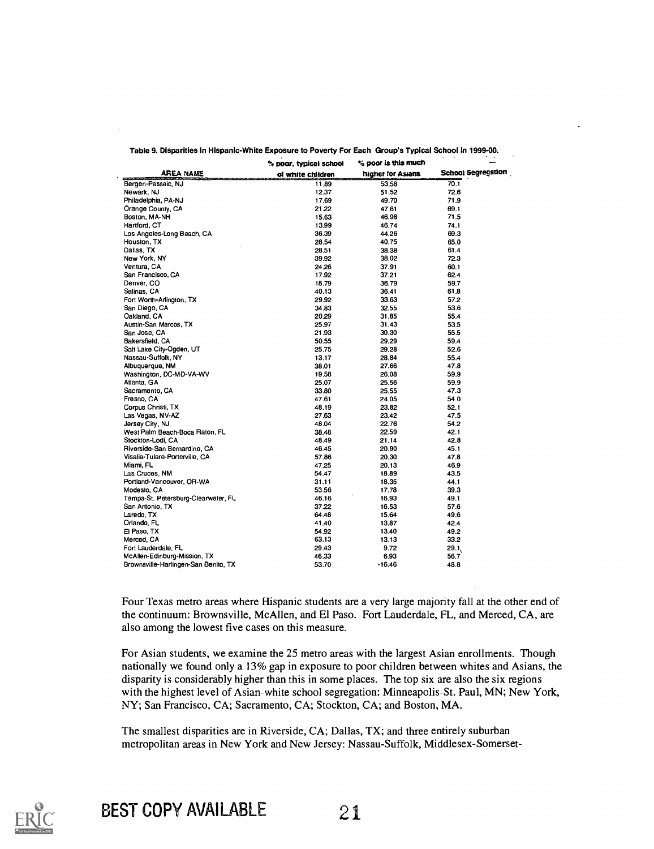|                                      | e poor, typical school | % poor is this much |                           |
|--------------------------------------|------------------------|---------------------|---------------------------|
| AREA NAME                            | of white children      | higher for Asians.  | <b>School Segregation</b> |
| Bergen-Passaic, NJ                   | 11.89                  | 53.58               | 70.1                      |
| Newark, NJ                           | 12.37                  | 51.52               | 72.6                      |
| Philadelphia, PA-NJ                  | 17.69                  | 49.70               | 71.9                      |
| Orange County, CA                    | 21.22                  | 47.61               | 69.1                      |
| Boston, MA-NH                        | 15.63                  | 46.98               | 71.5                      |
| Hartford, CT                         | 13.99                  | 46.74               | 74.1                      |
| Los Angeles-Long Beach, CA           | 36.39                  | 44.26               | 69.3                      |
| Houston, TX                          | 28.54                  | 40.75               | 65.0                      |
| Dallas, TX                           | 28.51                  | 38.38               | 61.4                      |
| New York, NY                         | 39.92                  | 38.02               | 72.3                      |
| Ventura, CA                          | 24.26                  | 37.91               | 60.1                      |
| San Francisco, CA                    | 17.92                  | 37.21               | 62.4                      |
| Denver, CO                           | 18.79                  | 36.79               | 59.7                      |
| Salinas, CA                          | 40.13                  | 36.41               | 61.8                      |
| Fort Worth-Arlington, TX             | 29.92                  | 33.63               | 57.2                      |
| San Diego, CA                        | 34.83                  | 32.55               | 53.6                      |
| Oakland, CA                          | 20.29                  | 31.85               | 55.4                      |
| Austin-San Marcos, TX                | 25.97                  | 31.43               | 53.5                      |
| San Jose, CA                         | 21.93                  | 30.30               | 55.5                      |
| Bakersfield, CA                      | 50.55                  | 29.29               | 59.4                      |
| Sait Lake City-Ogden, UT             | 25.75                  | 29.28               | 52.6                      |
| Nassau-Suffolk, NY                   | 13.17                  | 28.84               | 55.4                      |
| Albuguergue, NM                      | 38.01                  | 27.66               | 47.8                      |
| Washington, DC-MD-VA-WV              | 19.58                  | 26.08               | 59.9                      |
| Atlanta, GA                          | 25.07                  | 25.56               | 59.9                      |
| Sacramento, CA                       | 33.80                  | 25.55               | 47.3                      |
| Fresno, CA                           | 47.61                  | 24.05               | 54.0                      |
| Corpus Christi, TX                   | 48.19                  | 23.82               | 52.1                      |
| Las Vegas, NV-AZ                     | 27.63                  | 23.42               | 47.5                      |
| Jersey City, NJ                      | 48.04                  | 22.76               | 54.2                      |
| West Palm Beach-Boca Raton, FL       | 38.48                  | 22.59               | 42.1                      |
| Stockton-Lodi, CA                    | 48.49                  | 21.14               | 42.8                      |
| Riverside-San Bernardino, CA         | 46 45                  | 20.90               | 45.1                      |
| Visalia-Tulare-Porterville, CA       | 57.86                  | 20.30               | 47.8                      |
| Miami, FL                            | 47.25                  | 20.13               | 46.9                      |
| Las Cruces, NM                       | 54.47                  | 18.89               | 43.5                      |
| Portland-Vancouver, OR-WA            | 31.11                  | 18.35               | 44.1                      |
| Modesto, CA                          | 53.56                  | 17.78               | 39.3                      |
| Tampa-St. Petersburg-Clearwater, FL  | 46.16                  | 16.93               | 49.1                      |
| San Antonio, TX                      | 37.22                  | 16.53               | 57.6                      |
| Laredo, TX                           | 64 48                  | 15.64               | 49.6                      |
| Orlando, FL                          | 41.40                  | 13.87               | 42.4                      |
| El Paso, TX                          | 54 92                  | 13.40               | 49.2                      |
| Merced, CA                           | 63.13                  | 13.13               | 33.2                      |
| Fort Lauderdale, FL                  | 29.43                  | 9.72                | 29.1                      |
| McAllen-Edinburg-Mission, TX         | 46.33                  | 6.93                | 56.7                      |
| Brownsville-Harlingen-San Benito, TX | 53.70                  | -16.46              | 48.8                      |

Table 9. Disparities in Hispanic-White Exposure to Poverty For Each Group's Typical School In 1999-00.

Four Texas metro areas where Hispanic students are a very large majority fall at the other end of the continuum: Brownsville, McAllen, and El Paso. Fort Lauderdale, FL, and Merced, CA, are also among the lowest five cases on this measure.

For Asian students, we examine the 25 metro areas with the largest Asian enrollments. Though nationally we found only a 13% gap in exposure to poor children between whites and Asians, the disparity is considerably higher than this in some places. The top six are also the six regions with the highest level of Asian-white school segregation: Minneapolis-St. Paul, MN; New York, NY; San Francisco, CA; Sacramento, CA; Stockton, CA; and Boston, MA.

The smallest disparities are in Riverside, CA; Dallas, TX; and three entirely suburban metropolitan areas in New York and New Jersey: Nassau-Suffolk, Middlesex-Somerset-

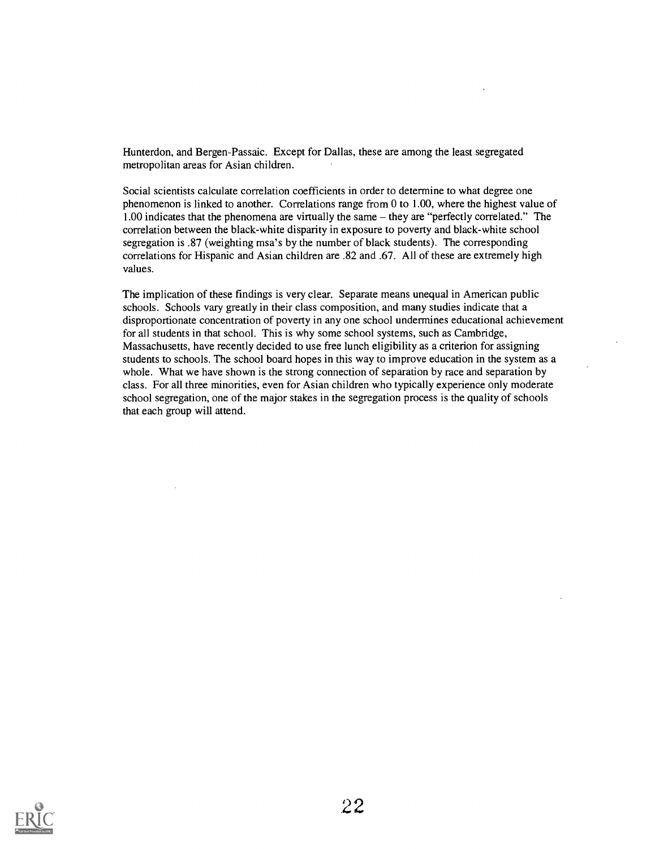Hunterdon, and Bergen-Passaic. Except for Dallas, these are among the least segregated metropolitan areas for Asian children.

Social scientists calculate correlation coefficients in order to determine to what degree one phenomenon is linked to another. Correlations range from 0 to 1.00, where the highest value of  $1.00$  indicates that the phenomena are virtually the same  $-$  they are "perfectly correlated." The correlation between the black-white disparity in exposure to poverty and black-white school segregation is .87 (weighting msa's by the number of black students). The corresponding correlations for Hispanic and Asian children are .82 and .67. All of these are extremely high values.

The implication of these findings is very clear. Separate means unequal in American public schools. Schools vary greatly in their class composition, and many studies indicate that a disproportionate concentration of poverty in any one school undermines educational achievement for all students in that school. This is why some school systems, such as Cambridge, Massachusetts, have recently decided to use free lunch eligibility as a criterion for assigning students to schools. The school board hopes in this way to improve education in the system as a whole. What we have shown is the strong connection of separation by race and separation by class. For all three minorities, even for Asian children who typically experience only moderate school segregation, one of the major stakes in the segregation process is the quality of schools that each group will attend.

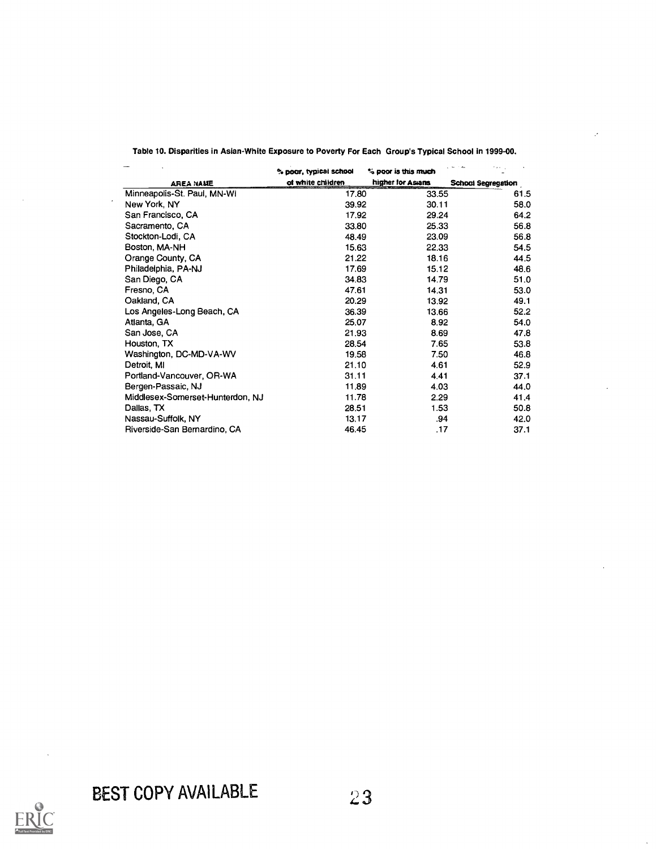|                                  | % poor, typical school | ** poor is this much | a militar          |
|----------------------------------|------------------------|----------------------|--------------------|
| <b>AREA NAME</b>                 | of white children      | higher for Asians    | School Segregation |
| Minneapolis-St. Paul, MN-WI      | 17.80                  | 33.55                | 61.5               |
| New York, NY                     | 39.92                  | 30.11                | 58.0               |
| San Francisco, CA                | 17.92                  | 29.24                | 64.2               |
| Sacramento, CA                   | 33.80                  | 25.33                | 56.8               |
| Stockton-Lodi, CA                | 48.49                  | 23.09                | 56.8               |
| Boston, MA-NH                    | 15.63                  | 22.33                | 54.5               |
| Orange County, CA                | 21.22                  | 18.16                | 44.5               |
| Philadelphia, PA-NJ              | 17.69                  | 15.12                | 48.6               |
| San Diego, CA                    | 34.83                  | 14.79                | 51.0               |
| Fresno, CA                       | 47.61                  | 14.31                | 53.0               |
| Oakland, CA                      | 20.29                  | 13.92                | 49.1               |
| Los Angeles-Long Beach, CA       | 36.39                  | 13.66                | 52.2               |
| Atlanta, GA                      | 25.07                  | 8.92                 | 54.0               |
| San Jose, CA                     | 21.93                  | 8.69                 | 47.8               |
| Houston, TX                      | 28.54                  | 7.65                 | 53.8               |
| Washington, DC-MD-VA-WV          | 19.58                  | 7.50                 | 46.8               |
| Detroit, MI                      | 21.10                  | 4.61                 | 52.9               |
| Portland-Vancouver, OR-WA        | 31.11                  | 4.41                 | 37.1               |
| Bergen-Passaic, NJ               | 11.89                  | 4.03                 | 44.0               |
| Middlesex-Somerset-Hunterdon, NJ | 11.78                  | 2.29                 | 41.4               |
| Dallas, TX                       | 28.51                  | 1.53                 | 50.8               |
| Nassau-Suffolk, NY               | 13.17                  | .94                  | 42.0               |
| Riverside-San Bernardino, CA     | 46.45                  | .17                  | 37.1               |

Table 10. Disparities in Asian-White Exposure to Poverty For Each Group's Typical School in 1999-00.

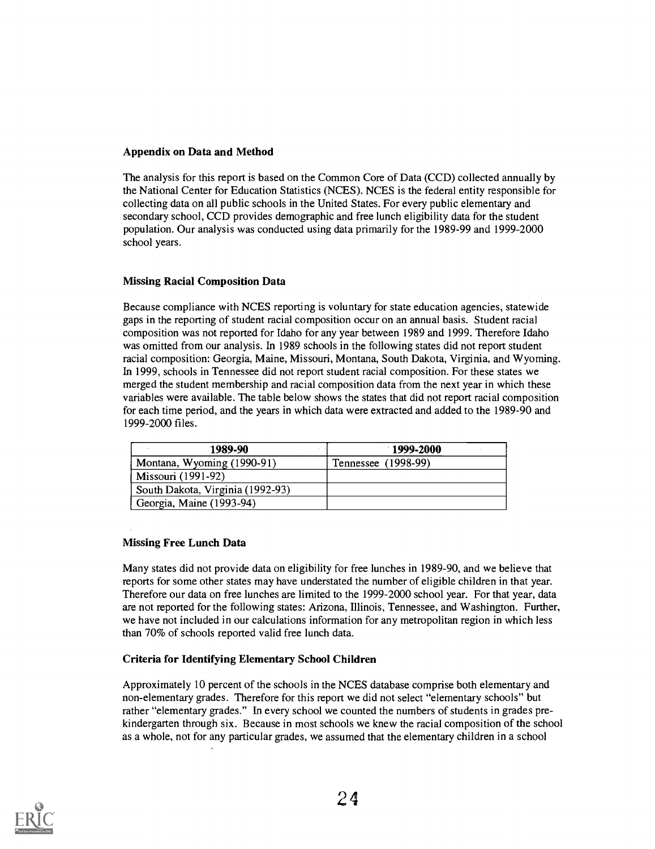## Appendix on Data and Method

The analysis for this report is based on the Common Core of Data (CCD) collected annually by the National Center for Education Statistics (NCES). NCES is the federal entity responsible for collecting data on all public schools in the United States. For every public elementary and secondary school, CCD provides demographic and free lunch eligibility data for the student population. Our analysis was conducted using data primarily for the 1989-99 and 1999-2000 school years.

## Missing Racial Composition Data

Because compliance with NCES reporting is voluntary for state education agencies, statewide gaps in the reporting of student racial composition occur on an annual basis. Student racial composition was not reported for Idaho for any year between 1989 and 1999. Therefore Idaho was omitted from our analysis. In 1989 schools in the following states did not report student racial composition: Georgia, Maine, Missouri, Montana, South Dakota, Virginia, and Wyoming. In 1999, schools in Tennessee did not report student racial composition. For these states we merged the student membership and racial composition data from the next year in which these variables were available. The table below shows the states that did not report racial composition for each time period, and the years in which data were extracted and added to the 1989-90 and 1999-2000 files.

| 1989-90                          | $-1999 - 2000$      |
|----------------------------------|---------------------|
| Montana, Wyoming (1990-91)       | Tennessee (1998-99) |
| Missouri (1991-92)               |                     |
| South Dakota, Virginia (1992-93) |                     |
| Georgia, Maine (1993-94)         |                     |

## Missing Free Lunch Data

Many states did not provide data on eligibility for free lunches in 1989-90, and we believe that reports for some other states may have understated the number of eligible children in that year. Therefore our data on free lunches are limited to the 1999-2000 school year. For that year, data are not reported for the following states: Arizona, Illinois, Tennessee, and Washington. Further, we have not included in our calculations information for any metropolitan region in which less than 70% of schools reported valid free lunch data.

## Criteria for Identifying Elementary School Children

Approximately 10 percent of the schools in the NCES database comprise both elementary and non-elementary grades. Therefore for this report we did not select "elementary schools" but rather "elementary grades." In every school we counted the numbers of students in grades prekindergarten through six. Because in most schools we knew the racial composition of the school as a whole, not for any particular grades, we assumed that the elementary children in a school

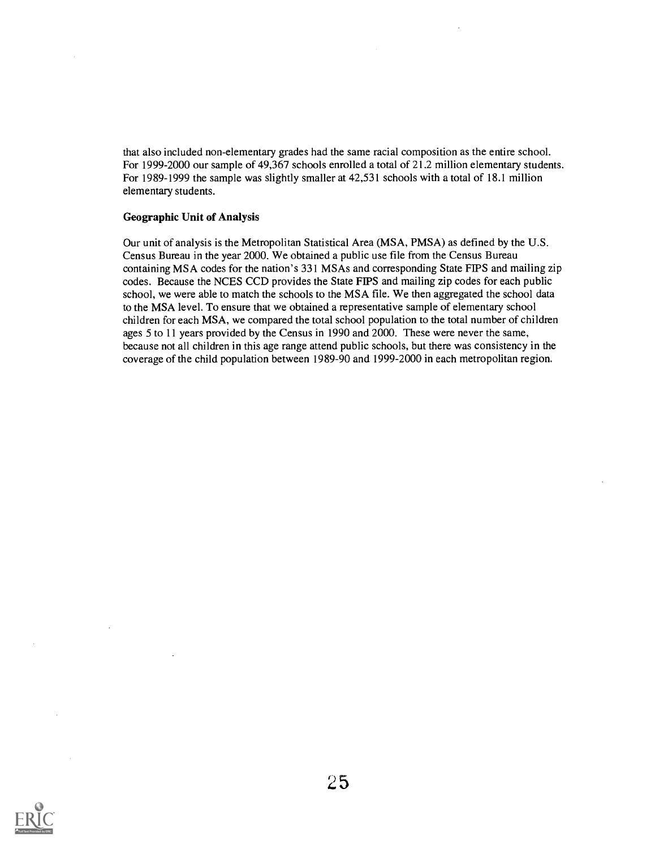that also included non-elementary grades had the same racial composition as the entire school. For 1999-2000 our sample of 49,367 schools enrolled a total of 21.2 million elementary students. For 1989-1999 the sample was slightly smaller at 42,531 schools with a total of 18.1 million elementary students.

#### Geographic Unit of Analysis

Our unit of analysis is the Metropolitan Statistical Area (MSA, PMSA) as defined by the U.S. Census Bureau in the year 2000. We obtained a public use file from the Census Bureau containing MSA codes for the nation's 331 MSAs and corresponding State FIPS and mailing zip codes. Because the NCES CCD provides the State FIPS and mailing zip codes for each public school, we were able to match the schools to the MSA file. We then aggregated the school data to the MSA level. To ensure that we obtained a representative sample of elementary school children for each MSA, we compared the total school population to the total number of children ages 5 to 11 years provided by the Census in 1990 and 2000. These were never the same, because not all children in this age range attend public schools, but there was consistency in the coverage of the child population between 1989-90 and 1999-2000 in each metropolitan region.

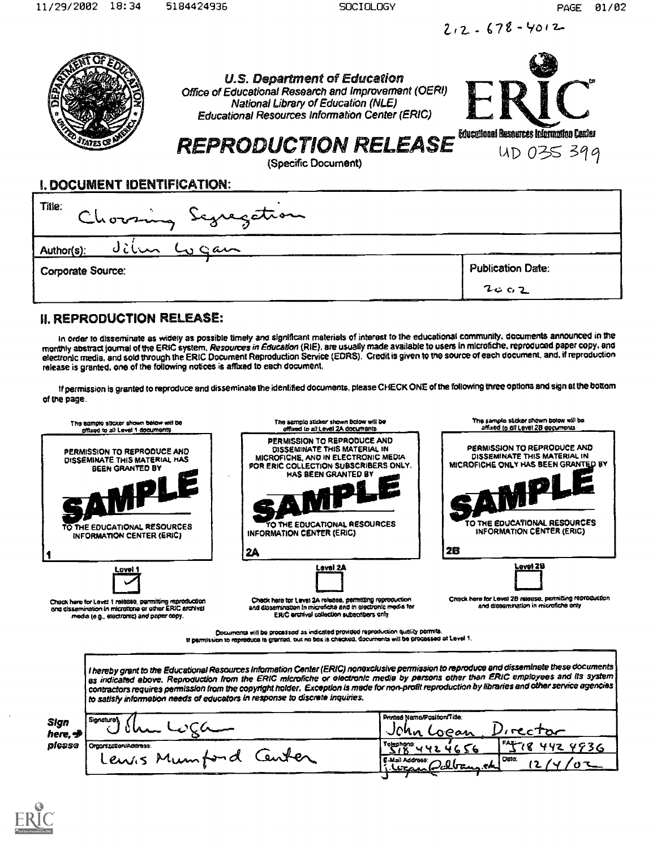$2.2 - 678 - 4012$ 

|                             | <b>U.S. Department of Education</b><br>Office of Educational Research and Improvement (OERI)<br>National Library of Education (NLE)<br><b>Educational Resources Information Center (ERIC)</b><br><b>REPRODUCTION RELEASE</b><br>(Specific Document) | Educational Resources Information Center<br>UD 035 399 |
|-----------------------------|-----------------------------------------------------------------------------------------------------------------------------------------------------------------------------------------------------------------------------------------------------|--------------------------------------------------------|
| I. DOCUMENT IDENTIFICATION: |                                                                                                                                                                                                                                                     |                                                        |
| Title:                      | Chorsing Scyregetion                                                                                                                                                                                                                                |                                                        |
| Author(s):                  |                                                                                                                                                                                                                                                     |                                                        |
| Corporate Source:           |                                                                                                                                                                                                                                                     | <b>Publication Date:</b>                               |
|                             |                                                                                                                                                                                                                                                     | 2002                                                   |

## II. REPRODUCTION RELEASE:

In order to disseminate as widely as possible timely and significant materials of interest to the educational community, documents announced in the monthly abstract journal ot the ERIC system. Resources in Education (RIE), are usually made available to users In microfiche, reproduced paper copy.and electronic media, and sold through the ERIC Document Reproduction Service (EORS). Credit is given to the source of each document. and. if reproduction release is granted, one of the following notices is affixed to each document.

If permission is granted to reproduce and disseminate the identified documents, please CHECK ONE of the following three options and sign at the bottom of the page.



If permission to reproduce is granted, out no box is checked, documents will be processed at Level 1.

I hereby grant to the Educational Resources information Center (ERIC) nonexclusive permission to reproduce and disseminate these documents as indicated above. Reproduction from the ERIC microfiche or electronic media by persons other than ERIC employees and its system contractors requires permission from the copyright holder. Exception is made for non-profit reproduction by libraries and other service agencies to satisfy information needs of educators in response to discrete inquiries.

| Sign                              | <b>Signature</b>                   | Printed Name/Position/Title:                           |
|-----------------------------------|------------------------------------|--------------------------------------------------------|
| <b>UMA</b><br>here, <del>st</del> | l A b<br>у⊝ам                      |                                                        |
| please                            | <sup>1</sup> Orgonization/Address: | در مستقط ا<br>Talaphana.                               |
| مصم<br>Mumford<br>Lewis           |                                    | l Dato:<br>E-Mail Addrese:<br>.eds.<br>11. Wash Colban |
|                                   |                                    | . .                                                    |